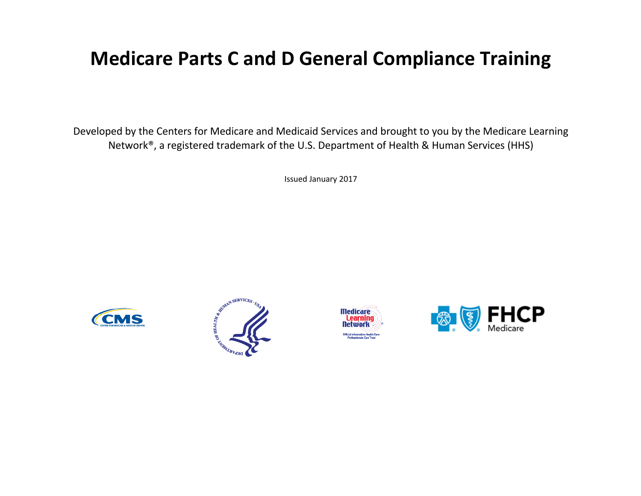### **Medicare Parts C and D General Compliance Training**

Developed by the Centers for Medicare and Medicaid Services and brought to you by the Medicare Learning Network®, a registered trademark of the U.S. Department of Health & Human Services (HHS)

Issued January 2017







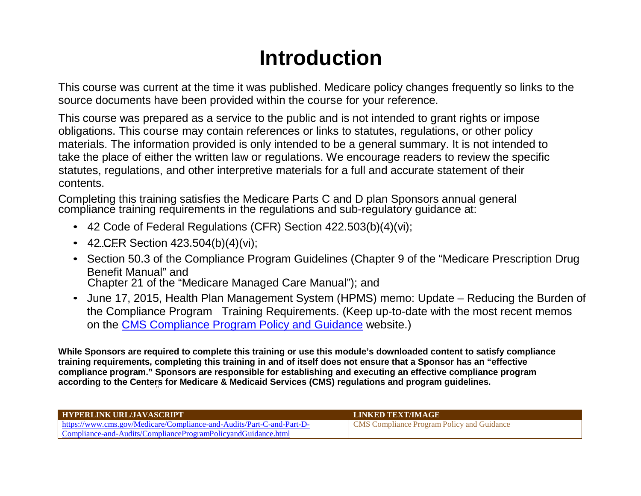## **Introduction**

This course was current at the time it was published. Medicare policy changes frequently so links to the source documents have been provided within the course for your reference.

This course was prepared as a service to the public and is not intended to grant rights or impose obligations. This course may contain references or links to statutes, regulations, or other policy materials. The information provided is only intended to be a general summary. It is not intended to take the place of either the written law or regulations. We encourage readers to review the specific statutes, regulations, and other interpretive materials for a full and accurate statement of their contents.

Completing this training satisfies the Medicare Parts C and D plan Sponsors annual general compliance training requirements in the regulations and sub-regulatory guidance at:

- 42 Code of Federal Regulations (CFR) Section 422.503(b)(4)(vi);
- 42. C. F.R Section 423.504(b)(4)(vi);
- Section 50.3 of the Compliance Program Guidelines (Chapter 9 of the "Medicare Prescription Drug Benefit Manual" and Chapter 21 of the "Medicare Managed Care Manual"); and
- June 17, 2015, Health Plan Management System (HPMS) memo: Update Reducing the Burden of the Compliance Program Training Requirements. (Keep up-to-date with the most recent memos on the CMS Compliance Program Policy and [Guidance](https://www.cms.gov/Medicare/Compliance-and-Audits/Part-C-and-Part-D-Compliance-and-Audits/ComplianceProgramPolicyandGuidance.html) website.)

**While Sponsors are required to complete this training or use this module's downloaded content to satisfy compliance training requirements, completing this training in and of itself does not ensure that a Sponsor has an "effective compliance program." Sponsors are responsible for establishing and executing an effective compliance program according to the Centers for Medicare & Medicaid Services (CMS) regulations and program guidelines.**

| <b>HYPERLINK URL/JAVASCRIPT</b>                                       | LINKED TEXT/IMAGE                                 |
|-----------------------------------------------------------------------|---------------------------------------------------|
| https://www.cms.gov/Medicare/Compliance-and-Audits/Part-C-and-Part-D- | <b>CMS</b> Compliance Program Policy and Guidance |
| Compliance-and-Audits/ComplianceProgramPolicyandGuidance.html         |                                                   |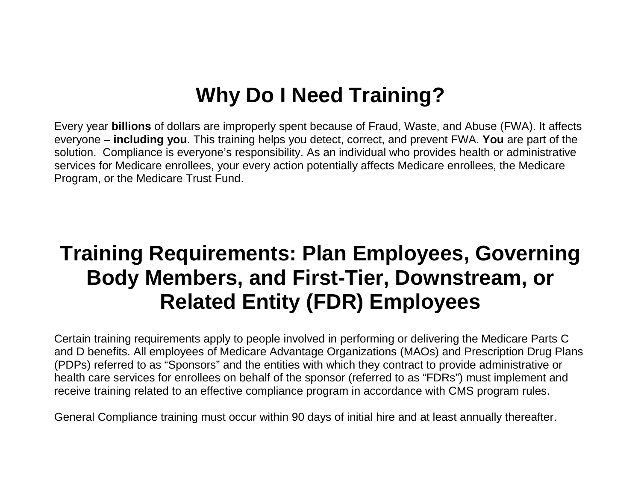## **Why Do I Need Training?**

Every year **billions** of dollars are improperly spent because of Fraud, Waste, and Abuse (FWA). It affects everyone – **including you**. This training helps you detect, correct, and prevent FWA. **You** are part of the solution. Compliance is everyone's responsibility. As an individual who provides health or administrative services for Medicare enrollees, your every action potentially affects Medicare enrollees, the Medicare Program, or the Medicare Trust Fund.

## **Training Requirements: Plan Employees, Governing Body Members, and First-Tier, Downstream, or Related Entity (FDR) Employees**

Certain training requirements apply to people involved in performing or delivering the Medicare Parts C and D benefits. All employees of Medicare Advantage Organizations (MAOs) and Prescription Drug Plans (PDPs) referred to as "Sponsors" and the entities with which they contract to provide administrative or health care services for enrollees on behalf of the sponsor (referred to as "FDRs") must implement and receive training related to an effective compliance program in accordance with CMS program rules.

General Compliance training must occur within 90 days of initial hire and at least annually thereafter.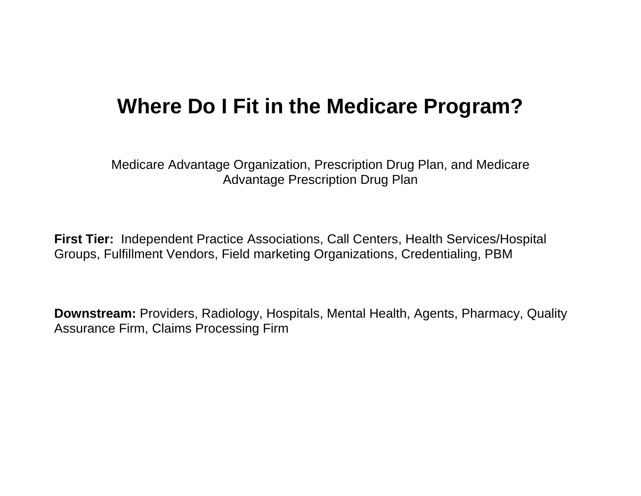## **Where Do I Fit in the Medicare Program?**

Medicare Advantage Organization, Prescription Drug Plan, and Medicare Advantage Prescription Drug Plan

**First Tier:** Independent Practice Associations, Call Centers, Health Services/Hospital Groups, Fulfillment Vendors, Field marketing Organizations, Credentialing, PBM

**Downstream:** Providers, Radiology, Hospitals, Mental Health, Agents, Pharmacy, Quality Assurance Firm, Claims Processing Firm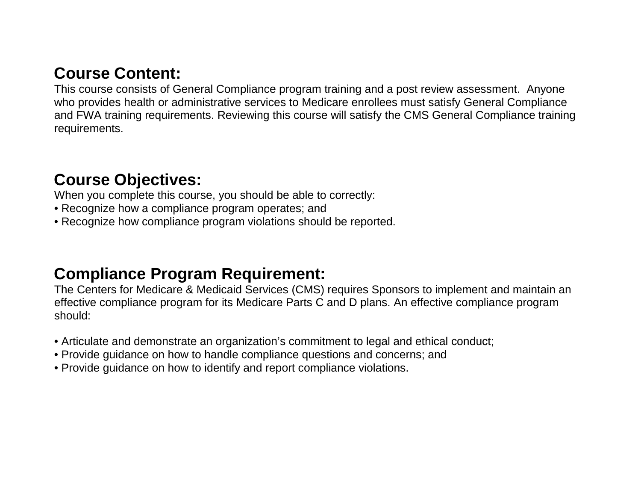### **Course Content:**

This course consists of General Compliance program training and a post review assessment. Anyone who provides health or administrative services to Medicare enrollees must satisfy General Compliance and FWA training requirements. Reviewing this course will satisfy the CMS General Compliance training requirements.

### **Course Objectives:**

When you complete this course, you should be able to correctly:

- Recognize how a compliance program operates; and
- Recognize how compliance program violations should be reported.

#### **Compliance Program Requirement:**

The Centers for Medicare & Medicaid Services (CMS) requires Sponsors to implement and maintain an effective compliance program for its Medicare Parts C and D plans. An effective compliance program should:

- Articulate and demonstrate an organization's commitment to legal and ethical conduct;
- Provide guidance on how to handle compliance questions and concerns; and
- Provide guidance on how to identify and report compliance violations.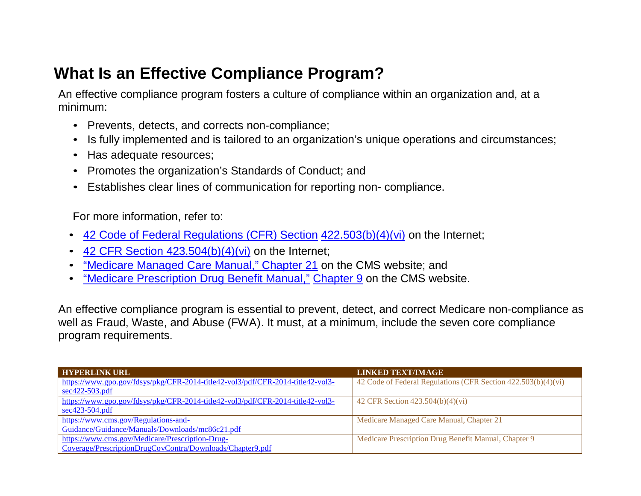### **What Is an Effective Compliance Program?**

An effective compliance program fosters a culture of compliance within an organization and, at a minimum:

- Prevents, detects, and corrects non-compliance;
- Is fully implemented and is tailored to an organization's unique operations and circumstances;
- Has adequate resources;
- Promotes the organization's Standards of Conduct; and
- Establishes clear lines of communication for reporting non- compliance.

For more information, refer to:

- [42 Code of Federal Regulations \(CFR\) Section](https://www.gpo.gov/fdsys/pkg/CFR-2014-title42-vol3/pdf/CFR-2014-title42-vol3-sec422-503.pdf) [422.503\(b\)\(4\)\(vi\) o](https://www.gpo.gov/fdsys/pkg/CFR-2014-title42-vol3/pdf/CFR-2014-title42-vol3-sec422-503.pdf)n the Internet;
- 42 CFR Section  $423.504(b)(4)(vi)$  on the Internet;
- ["Medicare Managed Care Manual," Chapter](https://www.cms.gov/Regulations-and-Guidance/Guidance/Manuals/Downloads/mc86c21.pdf) 21 on the CMS website; and
- ["Medicare Prescription Drug Benefit Manual," Chapter 9 o](https://www.cms.gov/Medicare/Prescription-Drug-Coverage/PrescriptionDrugCovContra/Downloads/Chapter9.pdf)n the CMS website.

An effective compliance program is essential to prevent, detect, and correct Medicare non-compliance as well as Fraud, Waste, and Abuse (FWA). It must, at a minimum, include the seven core compliance program requirements.

| <b>HYPERLINK URL</b>                                                           | <b>LINKED TEXT/IMAGE</b>                                      |
|--------------------------------------------------------------------------------|---------------------------------------------------------------|
| https://www.gpo.gov/fdsys/pkg/CFR-2014-title42-vol3/pdf/CFR-2014-title42-vol3- | 42 Code of Federal Regulations (CFR Section 422.503(b)(4)(vi) |
| $sec422-503.pdf$                                                               |                                                               |
| https://www.gpo.gov/fdsys/pkg/CFR-2014-title42-vol3/pdf/CFR-2014-title42-vol3- | 42 CFR Section $423.504(b)(4)(vi)$                            |
| $sec423-504.pdf$                                                               |                                                               |
| https://www.cms.gov/Regulations-and-                                           | Medicare Managed Care Manual, Chapter 21                      |
| Guidance/Guidance/Manuals/Downloads/mc86c21.pdf                                |                                                               |
| https://www.cms.gov/Medicare/Prescription-Drug-                                | Medicare Prescription Drug Benefit Manual, Chapter 9          |
| Coverage/PrescriptionDrugCovContra/Downloads/Chapter9.pdf                      |                                                               |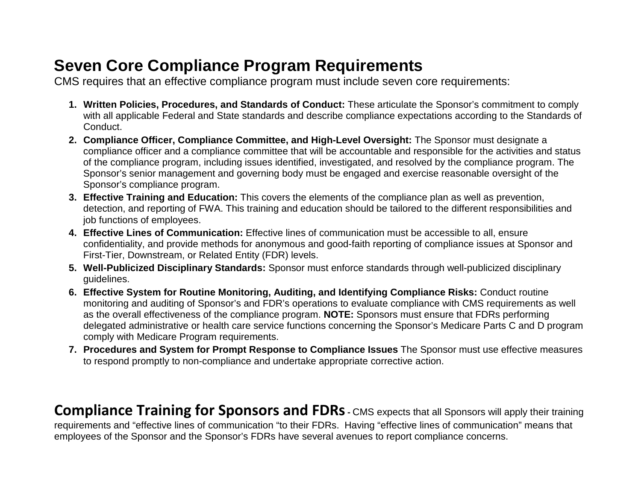### **Seven Core Compliance Program Requirements**

CMS requires that an effective compliance program must include seven core requirements:

- **1. Written Policies, Procedures, and Standards of Conduct:** These articulate the Sponsor's commitment to comply with all applicable Federal and State standards and describe compliance expectations according to the Standards of Conduct.
- **2. Compliance Officer, Compliance Committee, and High-Level Oversight:** The Sponsor must designate a compliance officer and a compliance committee that will be accountable and responsible for the activities and status of the compliance program, including issues identified, investigated, and resolved by the compliance program. The Sponsor's senior management and governing body must be engaged and exercise reasonable oversight of the Sponsor's compliance program.
- **3. Effective Training and Education:** This covers the elements of the compliance plan as well as prevention, detection, and reporting of FWA. This training and education should be tailored to the different responsibilities and job functions of employees.
- **4. Effective Lines of Communication:** Effective lines of communication must be accessible to all, ensure confidentiality, and provide methods for anonymous and good-faith reporting of compliance issues at Sponsor and First-Tier, Downstream, or Related Entity (FDR) levels.
- **5. Well-Publicized Disciplinary Standards:** Sponsor must enforce standards through well-publicized disciplinary guidelines.
- **6. Effective System for Routine Monitoring, Auditing, and Identifying Compliance Risks:** Conduct routine monitoring and auditing of Sponsor's and FDR's operations to evaluate compliance with CMS requirements as well as the overall effectiveness of the compliance program. **NOTE:** Sponsors must ensure that FDRs performing delegated administrative or health care service functions concerning the Sponsor's Medicare Parts C and D program comply with Medicare Program requirements.
- **7. Procedures and System for Prompt Response to Compliance Issues** The Sponsor must use effective measures to respond promptly to non-compliance and undertake appropriate corrective action.

**Compliance Training for Sponsors and FDRs** - CMS expects that all Sponsors will apply their training requirements and "effective lines of communication "to their FDRs. Having "effective lines of communication" means that employees of the Sponsor and the Sponsor's FDRs have several avenues to report compliance concerns.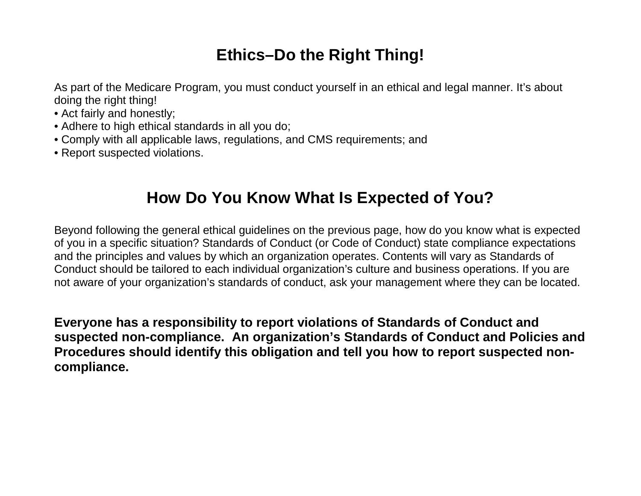### **Ethics–Do the Right Thing!**

As part of the Medicare Program, you must conduct yourself in an ethical and legal manner. It's about doing the right thing!

- Act fairly and honestly;
- Adhere to high ethical standards in all you do;
- Comply with all applicable laws, regulations, and CMS requirements; and
- Report suspected violations.

### **How Do You Know What Is Expected of You?**

Beyond following the general ethical guidelines on the previous page, how do you know what is expected of you in a specific situation? Standards of Conduct (or Code of Conduct) state compliance expectations and the principles and values by which an organization operates. Contents will vary as Standards of Conduct should be tailored to each individual organization's culture and business operations. If you are not aware of your organization's standards of conduct, ask your management where they can be located.

**Everyone has a responsibility to report violations of Standards of Conduct and suspected non-compliance. An organization's Standards of Conduct and Policies and Procedures should identify this obligation and tell you how to report suspected noncompliance.**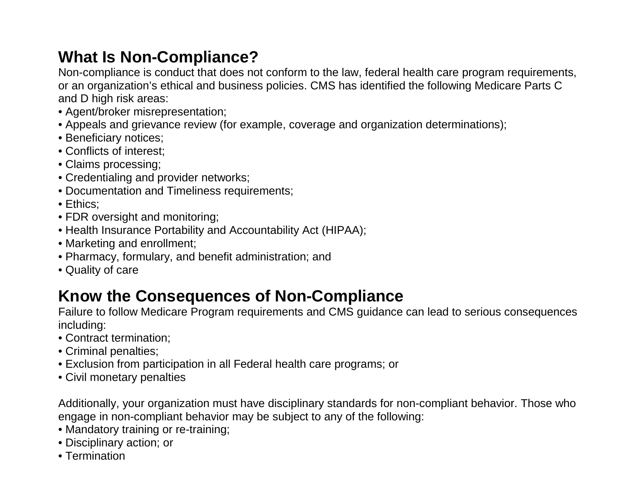### **What Is Non-Compliance?**

Non-compliance is conduct that does not conform to the law, federal health care program requirements, or an organization's ethical and business policies. CMS has identified the following Medicare Parts C and D high risk areas:

- Agent/broker misrepresentation;
- Appeals and grievance review (for example, coverage and organization determinations);
- Beneficiary notices;
- Conflicts of interest;
- Claims processing;
- Credentialing and provider networks;
- Documentation and Timeliness requirements;
- Ethics;
- FDR oversight and monitoring;
- Health Insurance Portability and Accountability Act (HIPAA);
- Marketing and enrollment;
- Pharmacy, formulary, and benefit administration; and
- Quality of care

### **Know the Consequences of Non-Compliance**

Failure to follow Medicare Program requirements and CMS guidance can lead to serious consequences including:

- Contract termination;
- Criminal penalties;
- Exclusion from participation in all Federal health care programs; or
- Civil monetary penalties

Additionally, your organization must have disciplinary standards for non-compliant behavior. Those who engage in non-compliant behavior may be subject to any of the following:

- Mandatory training or re-training;
- Disciplinary action; or
- Termination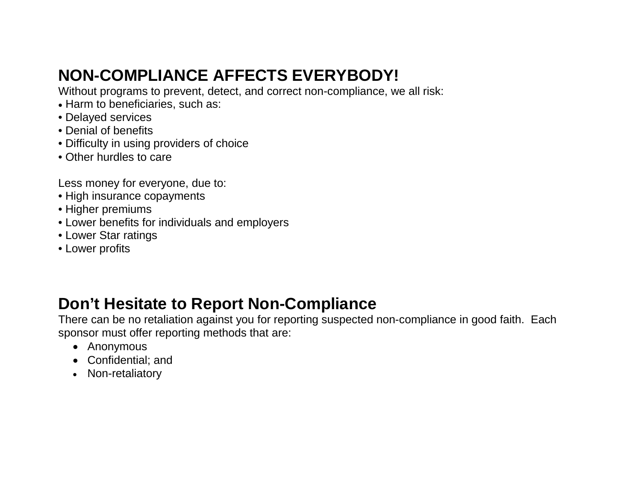### **NON-COMPLIANCE AFFECTS EVERYBODY!**

Without programs to prevent, detect, and correct non-compliance, we all risk:

- Harm to beneficiaries, such as:
- Delayed services
- Denial of benefits
- Difficulty in using providers of choice
- Other hurdles to care

Less money for everyone, due to:

- High insurance copayments
- Higher premiums
- Lower benefits for individuals and employers
- Lower Star ratings
- Lower profits

### **Don't Hesitate to Report Non-Compliance**

There can be no retaliation against you for reporting suspected non-compliance in good faith. Each sponsor must offer reporting methods that are:

- Anonymous
- Confidential; and
- Non-retaliatory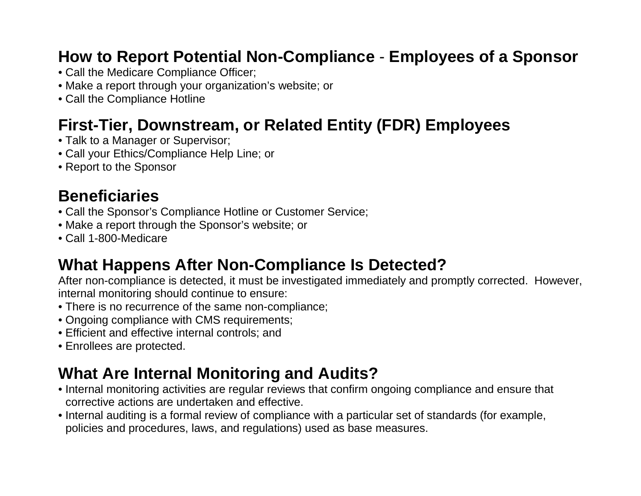### **How to Report Potential Non-Compliance** - **Employees of a Sponsor**

- Call the Medicare Compliance Officer;
- Make a report through your organization's website; or
- Call the Compliance Hotline

### **First-Tier, Downstream, or Related Entity (FDR) Employees**

- Talk to a Manager or Supervisor;
- Call your Ethics/Compliance Help Line; or
- Report to the Sponsor

### **Beneficiaries**

- Call the Sponsor's Compliance Hotline or Customer Service;
- Make a report through the Sponsor's website; or
- Call 1-800-Medicare

### **What Happens After Non-Compliance Is Detected?**

After non-compliance is detected, it must be investigated immediately and promptly corrected. However, internal monitoring should continue to ensure:

- There is no recurrence of the same non-compliance;
- Ongoing compliance with CMS requirements;
- Efficient and effective internal controls; and
- Enrollees are protected.

### **What Are Internal Monitoring and Audits?**

- Internal monitoring activities are regular reviews that confirm ongoing compliance and ensure that corrective actions are undertaken and effective.
- Internal auditing is a formal review of compliance with a particular set of standards (for example, policies and procedures, laws, and regulations) used as base measures.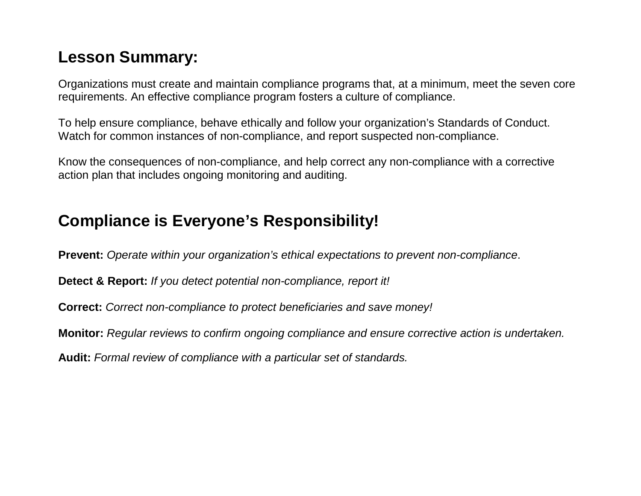### **Lesson Summary:**

Organizations must create and maintain compliance programs that, at a minimum, meet the seven core requirements. An effective compliance program fosters a culture of compliance.

To help ensure compliance, behave ethically and follow your organization's Standards of Conduct. Watch for common instances of non-compliance, and report suspected non-compliance.

Know the consequences of non-compliance, and help correct any non-compliance with a corrective action plan that includes ongoing monitoring and auditing.

### **Compliance is Everyone's Responsibility!**

**Prevent:** *Operate within your organization's ethical expectations to prevent non-compliance*.

**Detect & Report:** *If you detect potential non-compliance, report it!*

**Correct:** *Correct non-compliance to protect beneficiaries and save money!*

**Monitor:** *Regular reviews to confirm ongoing compliance and ensure corrective action is undertaken.*

**Audit:** *Formal review of compliance with a particular set of standards.*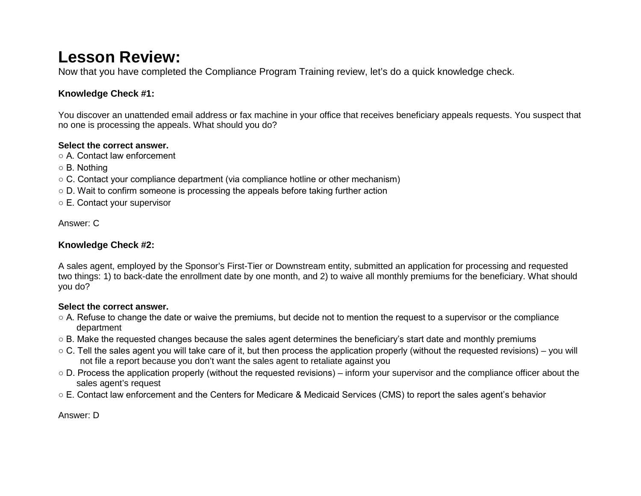#### **Lesson Review:**

Now that you have completed the Compliance Program Training review, let's do a quick knowledge check.

#### **Knowledge Check #1:**

You discover an unattended email address or fax machine in your office that receives beneficiary appeals requests. You suspect that no one is processing the appeals. What should you do?

#### **Select the correct answer.**

○ A. Contact law enforcement

- B. Nothing
- $\circ$  C. Contact your compliance department (via compliance hotline or other mechanism)
- $\circ$  D. Wait to confirm someone is processing the appeals before taking further action
- E. Contact your supervisor

Answer: C

#### **Knowledge Check #2:**

A sales agent, employed by the Sponsor's First-Tier or Downstream entity, submitted an application for processing and requested two things: 1) to back-date the enrollment date by one month, and 2) to waive all monthly premiums for the beneficiary. What should you do?

#### **Select the correct answer.**

- A. Refuse to change the date or waive the premiums, but decide not to mention the request to a supervisor or the compliance department
- B. Make the requested changes because the sales agent determines the beneficiary's start date and monthly premiums
- C. Tell the sales agent you will take care of it, but then process the application properly (without the requested revisions) you will not file a report because you don't want the sales agent to retaliate against you
- D. Process the application properly (without the requested revisions) inform your supervisor and the compliance officer about the sales agent's request
- E. Contact law enforcement and the Centers for Medicare & Medicaid Services (CMS) to report the sales agent's behavior

Answer: D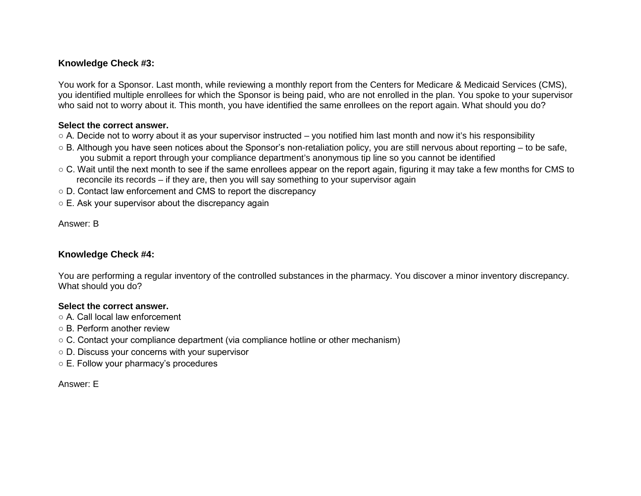#### **Knowledge Check #3:**

You work for a Sponsor. Last month, while reviewing a monthly report from the Centers for Medicare & Medicaid Services (CMS), you identified multiple enrollees for which the Sponsor is being paid, who are not enrolled in the plan. You spoke to your supervisor who said not to worry about it. This month, you have identified the same enrollees on the report again. What should you do?

#### **Select the correct answer.**

- A. Decide not to worry about it as your supervisor instructed you notified him last month and now it's his responsibility
- B. Although you have seen notices about the Sponsor's non-retaliation policy, you are still nervous about reporting to be safe, you submit a report through your compliance department's anonymous tip line so you cannot be identified
- $\circ$  C. Wait until the next month to see if the same enrollees appear on the report again, figuring it may take a few months for CMS to reconcile its records – if they are, then you will say something to your supervisor again
- D. Contact law enforcement and CMS to report the discrepancy
- E. Ask your supervisor about the discrepancy again

Answer: B

#### **Knowledge Check #4:**

You are performing a regular inventory of the controlled substances in the pharmacy. You discover a minor inventory discrepancy. What should you do?

#### **Select the correct answer.**

- A. Call local law enforcement
- B. Perform another review
- C. Contact your compliance department (via compliance hotline or other mechanism)
- D. Discuss your concerns with your supervisor
- E. Follow your pharmacy's procedures

Answer: E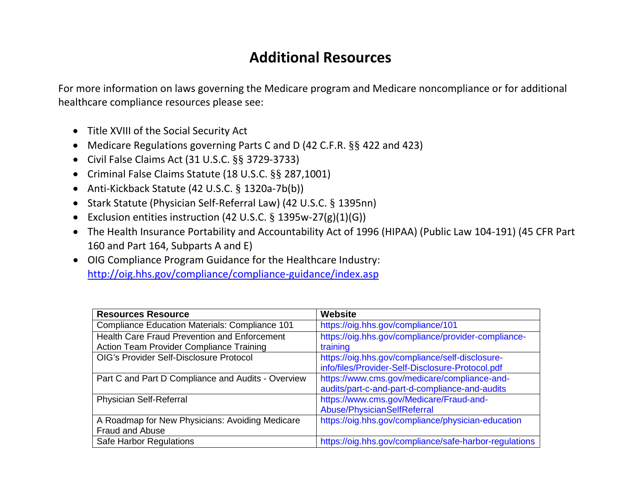#### **Additional Resources**

For more information on laws governing the Medicare program and Medicare noncompliance or for additional healthcare compliance resources please see:

- Title XVIII of the Social Security Act
- Medicare Regulations governing Parts C and D (42 C.F.R. §§ 422 and 423)
- Civil False Claims Act (31 U.S.C. §§ 3729-3733)
- Criminal False Claims Statute (18 U.S.C. §§ 287,1001)
- Anti-Kickback Statute (42 U.S.C. § 1320a-7b(b))
- Stark Statute (Physician Self-Referral Law) (42 U.S.C. § 1395nn)
- Exclusion entities instruction (42 U.S.C. § 1395w-27(g)(1)(G))
- The Health Insurance Portability and Accountability Act of 1996 (HIPAA) (Public Law 104-191) (45 CFR Part 160 and Part 164, Subparts A and E)
- OIG Compliance Program Guidance for the Healthcare Industry: <http://oig.hhs.gov/compliance/compliance-guidance/index.asp>

| <b>Resources Resource</b>                           | Website                                                |
|-----------------------------------------------------|--------------------------------------------------------|
| Compliance Education Materials: Compliance 101      | https://oig.hhs.gov/compliance/101                     |
| <b>Health Care Fraud Prevention and Enforcement</b> | https://oig.hhs.gov/compliance/provider-compliance-    |
| Action Team Provider Compliance Training            | training                                               |
| <b>OIG's Provider Self-Disclosure Protocol</b>      | https://oig.hhs.gov/compliance/self-disclosure-        |
|                                                     | info/files/Provider-Self-Disclosure-Protocol.pdf       |
| Part C and Part D Compliance and Audits - Overview  | https://www.cms.gov/medicare/compliance-and-           |
|                                                     | audits/part-c-and-part-d-compliance-and-audits         |
| Physician Self-Referral                             | https://www.cms.gov/Medicare/Fraud-and-                |
|                                                     | Abuse/PhysicianSelfReferral                            |
| A Roadmap for New Physicians: Avoiding Medicare     | https://oig.hhs.gov/compliance/physician-education     |
| <b>Fraud and Abuse</b>                              |                                                        |
| Safe Harbor Regulations                             | https://oig.hhs.gov/compliance/safe-harbor-regulations |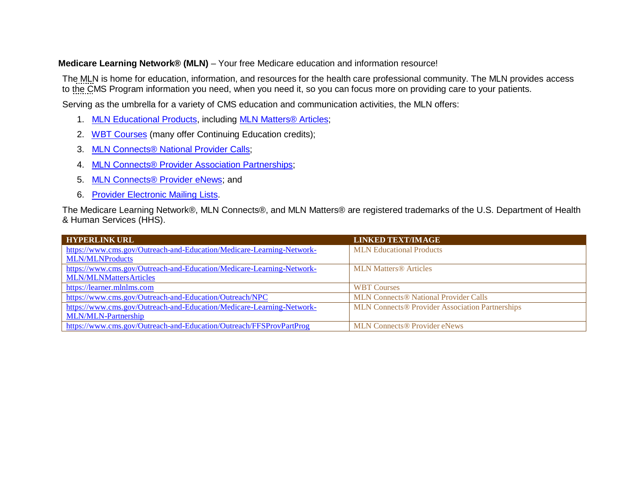#### **Medicare Learning Network® (MLN)** – Your free Medicare education and information resource!

The MLN is home for education, information, and resources for the health care professional community. The MLN provides access to the CMS Program information you need, when you need it, so you can focus more on providing care to your patients.

Serving as the umbrella for a variety of CMS education and communication activities, the MLN offers:

- 1. [MLN Educational Products,](https://www.cms.gov/Outreach-and-Education/Medicare-Learning-Network-MLN/MLNProducts/Downloads/MailingLists_FactSheet.pdf) including [MLN Matters® Articles;](https://www.cms.gov/Outreach-and-Education/Medicare-Learning-Network-MLN/MLNMattersArticles)
- 2. [WBT Courses \(](https://learner.mlnlms.com/)many offer Continuing Education credits);
- 3. [MLN Connects® National Provider Calls;](https://www.cms.gov/Outreach-and-Education/Outreach/NPC)
- 4. [MLN Connects® Provider Association Partnerships;](https://www.cms.gov/Outreach-and-Education/Medicare-Learning-Network-MLN/MLN-Partnership)
- 5. [MLN Connects® Provider eNews;](https://www.cms.gov/Outreach-and-Education/Outreach/FFSProvPartProg) and
- 6. Provider [Electronic Mailing Lists.](https://www.cms.gov/Outreach-and-Education/Medicare-Learning-Network-MLN/MLNProducts/MLN-Publications-Items/CMS1243324.html)

The Medicare Learning Network®, MLN Connects®, and MLN Matters® are registered trademarks of the U.S. Department of Health & Human Services (HHS).

| <b>HYPERLINK URL</b>                                                  | <b>LINKED TEXT/IMAGE</b>                               |
|-----------------------------------------------------------------------|--------------------------------------------------------|
| https://www.cms.gov/Outreach-and-Education/Medicare-Learning-Network- | <b>MLN</b> Educational Products                        |
| <b>MLN/MLNProducts</b>                                                |                                                        |
| https://www.cms.gov/Outreach-and-Education/Medicare-Learning-Network- | <b>MLN Matters® Articles</b>                           |
| <b>MLN/MLNMattersArticles</b>                                         |                                                        |
| https://learner.mlnlms.com                                            | <b>WBT Courses</b>                                     |
| https://www.cms.gov/Outreach-and-Education/Outreach/NPC               | <b>MLN Connects® National Provider Calls</b>           |
| https://www.cms.gov/Outreach-and-Education/Medicare-Learning-Network- | <b>MLN Connects® Provider Association Partnerships</b> |
| <b>MLN/MLN-Partnership</b>                                            |                                                        |
| https://www.cms.gov/Outreach-and-Education/Outreach/FFSProvPartProg   | <b>MLN Connects® Provider eNews</b>                    |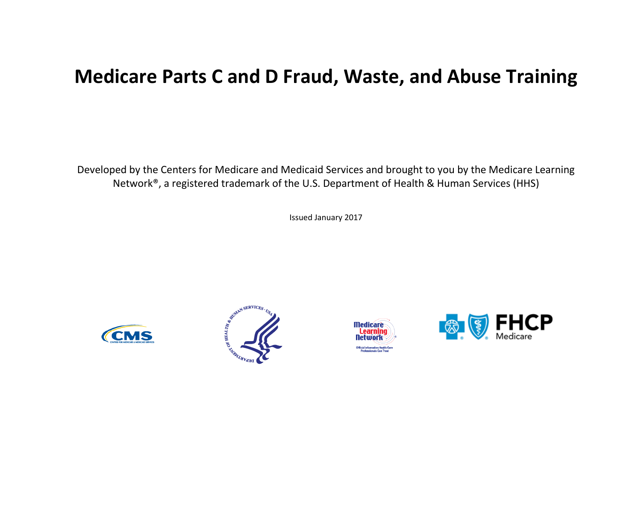### **Medicare Parts C and D Fraud, Waste, and Abuse Training**

Developed by the Centers for Medicare and Medicaid Services and brought to you by the Medicare Learning Network®, a registered trademark of the U.S. Department of Health & Human Services (HHS)

Issued January 2017







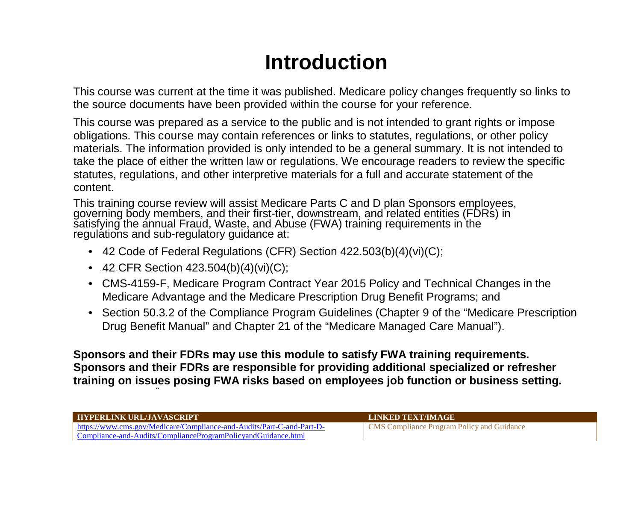## **Introduction**

This course was current at the time it was published. Medicare policy changes frequently so links to the source documents have been provided within the course for your reference.

This course was prepared as a service to the public and is not intended to grant rights or impose obligations. This course may contain references or links to statutes, regulations, or other policy materials. The information provided is only intended to be a general summary. It is not intended to take the place of either the written law or regulations. We encourage readers to review the specific statutes, regulations, and other interpretive materials for a full and accurate statement of the content.

This training course review will assist Medicare Parts C and D plan Sponsors employees, governing body members, and their first-tier, downstream, and related entities (FDRs) in satisfying the annual Fraud, Waste, and Abuse regulations and sub-regulatory guidance at:

- 42 Code of Federal Regulations (CFR) Section 422.503(b)(4)(vi)(C);
- $.42$  CFR Section 423.504(b)(4)(vi)(C);
- CMS-4159-F, Medicare Program Contract Year 2015 Policy and Technical Changes in the Medicare Advantage and the Medicare Prescription Drug Benefit Programs; and
- Section 50.3.2 of the Compliance Program Guidelines (Chapter 9 of the "Medicare Prescription Drug Benefit Manual" and Chapter 21 of the "Medicare Managed Care Manual").

**Sponsors and their FDRs may use this module to satisfy FWA training requirements. Sponsors and their FDRs are responsible for providing additional specialized or refresher training on issues posing FWA risks based on employees job function or business setting.**

| <b>HYPERLINK URL/JAVASCRIPT</b>                                       | <b>LINKED TEXT/IMAGE</b>                          |
|-----------------------------------------------------------------------|---------------------------------------------------|
| https://www.cms.gov/Medicare/Compliance-and-Audits/Part-C-and-Part-D- | <b>CMS</b> Compliance Program Policy and Guidance |
| Compliance-and-Audits/ComplianceProgramPolicyandGuidance.html         |                                                   |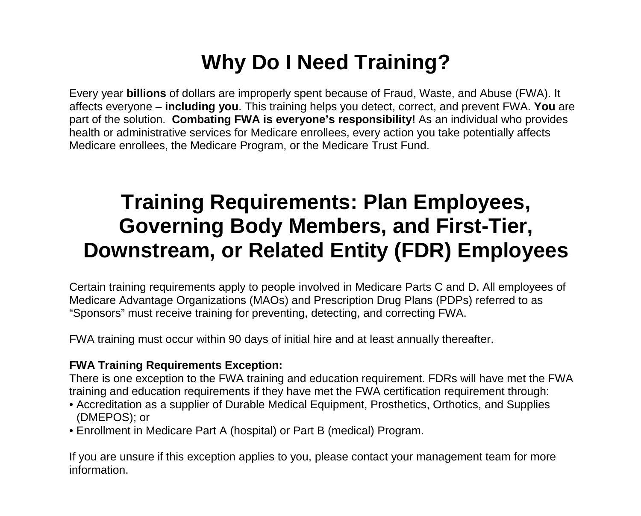## **Why Do I Need Training?**

Every year **billions** of dollars are improperly spent because of Fraud, Waste, and Abuse (FWA). It affects everyone – **including you**. This training helps you detect, correct, and prevent FWA. **You** are part of the solution. **Combating FWA is everyone's responsibility!** As an individual who provides health or administrative services for Medicare enrollees, every action you take potentially affects Medicare enrollees, the Medicare Program, or the Medicare Trust Fund.

## **Training Requirements: Plan Employees, Governing Body Members, and First-Tier, Downstream, or Related Entity (FDR) Employees**

Certain training requirements apply to people involved in Medicare Parts C and D. All employees of Medicare Advantage Organizations (MAOs) and Prescription Drug Plans (PDPs) referred to as "Sponsors" must receive training for preventing, detecting, and correcting FWA.

FWA training must occur within 90 days of initial hire and at least annually thereafter.

#### **FWA Training Requirements Exception:**

There is one exception to the FWA training and education requirement. FDRs will have met the FWA training and education requirements if they have met the FWA certification requirement through:

- Accreditation as a supplier of Durable Medical Equipment, Prosthetics, Orthotics, and Supplies (DMEPOS); or
- Enrollment in Medicare Part A (hospital) or Part B (medical) Program.

If you are unsure if this exception applies to you, please contact your management team for more information.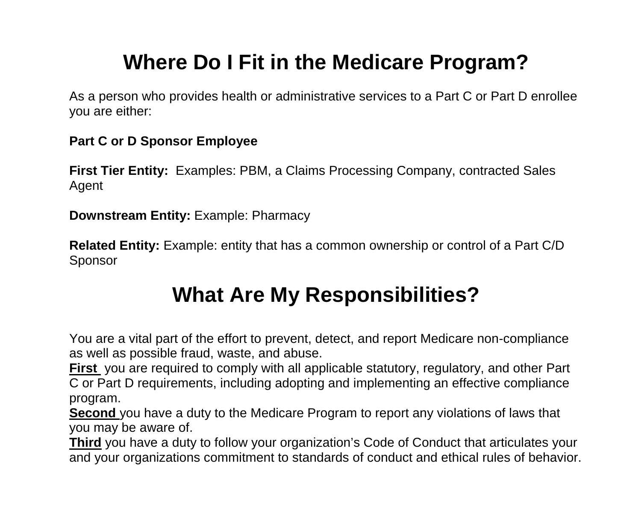# **Where Do I Fit in the Medicare Program?**

As a person who provides health or administrative services to a Part C or Part D enrollee you are either:

#### **Part C or D Sponsor Employee**

**First Tier Entity:** Examples: PBM, a Claims Processing Company, contracted Sales Agent

**Downstream Entity:** Example: Pharmacy

**Related Entity:** Example: entity that has a common ownership or control of a Part C/D Sponsor

# **What Are My Responsibilities?**

You are a vital part of the effort to prevent, detect, and report Medicare non-compliance as well as possible fraud, waste, and abuse.

**First** you are required to comply with all applicable statutory, regulatory, and other Part C or Part D requirements, including adopting and implementing an effective compliance program.

**Second** you have a duty to the Medicare Program to report any violations of laws that you may be aware of.

**Third** you have a duty to follow your organization's Code of Conduct that articulates your and your organizations commitment to standards of conduct and ethical rules of behavior.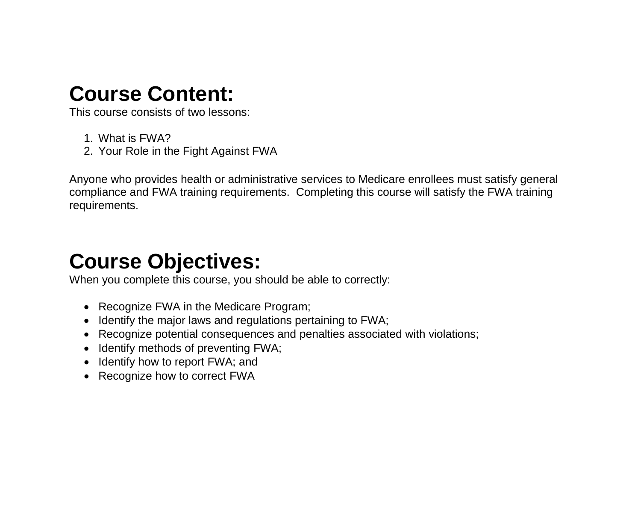## **Course Content:**

This course consists of two lessons:

- 1. What is FWA?
- 2. Your Role in the Fight Against FWA

Anyone who provides health or administrative services to Medicare enrollees must satisfy general compliance and FWA training requirements. Completing this course will satisfy the FWA training requirements.

## **Course Objectives:**

When you complete this course, you should be able to correctly:

- Recognize FWA in the Medicare Program;
- Identify the major laws and regulations pertaining to FWA;
- Recognize potential consequences and penalties associated with violations;
- Identify methods of preventing FWA;
- Identify how to report FWA; and
- Recognize how to correct FWA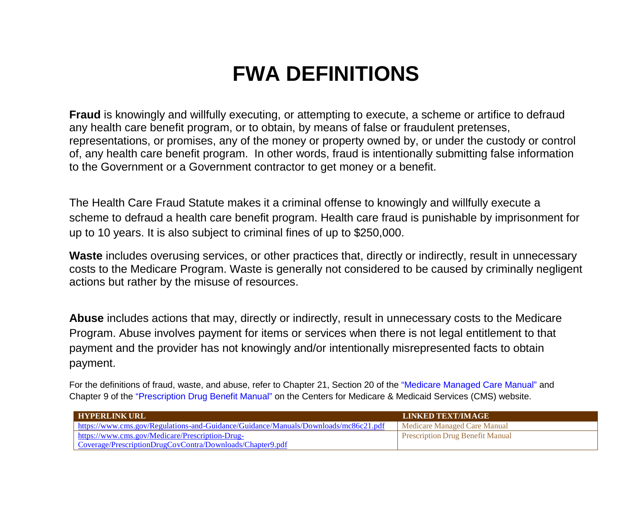# **FWA DEFINITIONS**

**Fraud** is knowingly and willfully executing, or attempting to execute, a scheme or artifice to defraud any health care benefit program, or to obtain, by means of false or fraudulent pretenses, representations, or promises, any of the money or property owned by, or under the custody or control of, any health care benefit program. In other words, fraud is intentionally submitting false information to the Government or a Government contractor to get money or a benefit.

The Health Care Fraud Statute makes it a criminal offense to knowingly and willfully execute a scheme to defraud a health care benefit program. Health care fraud is punishable by imprisonment for up to 10 years. It is also subject to criminal fines of up to \$250,000.

Waste includes overusing services, or other practices that, directly or indirectly, result in unnecessary costs to the Medicare Program. Waste is generally not considered to be caused by criminally negligent actions but rather by the misuse of resources.

**Abuse** includes actions that may, directly or indirectly, result in unnecessary costs to the Medicare Program. Abuse involves payment for items or services when there is not legal entitlement to that payment and the provider has not knowingly and/or intentionally misrepresented facts to obtain payment.

For the definitions of fraud, waste, and abuse, refer to Chapter 21, Section 20 of the "Medicare Managed Care Manual" and Chapter 9 of the "Prescription Drug Benefit Manual" on the Centers for Medicare & Medicaid Services (CMS) website.

| <b>HYPERLINK URL</b>                                                                | <b>LINKED TEXT/IMAGE</b>                |
|-------------------------------------------------------------------------------------|-----------------------------------------|
| https://www.cms.gov/Regulations-and-Guidance/Guidance/Manuals/Downloads/mc86c21.pdf | Medicare Managed Care Manual            |
| https://www.cms.gov/Medicare/Prescription-Drug-                                     | <b>Prescription Drug Benefit Manual</b> |
| Coverage/PrescriptionDrugCovContra/Downloads/Chapter9.pdf                           |                                         |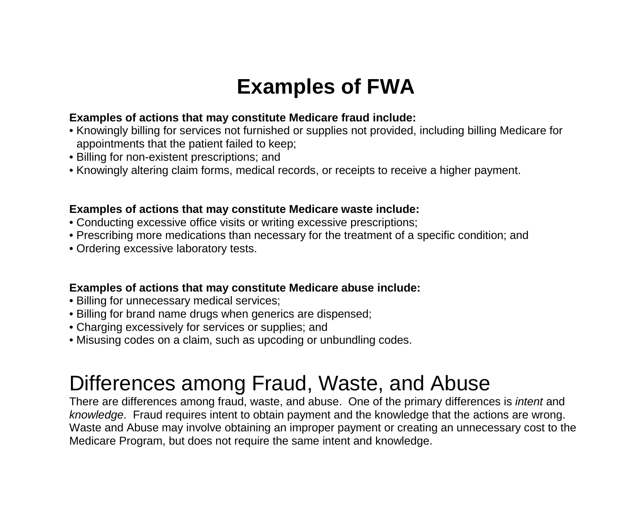## **Examples of FWA**

#### **Examples of actions that may constitute Medicare fraud include:**

- Knowingly billing for services not furnished or supplies not provided, including billing Medicare for appointments that the patient failed to keep;
- Billing for non-existent prescriptions; and
- Knowingly altering claim forms, medical records, or receipts to receive a higher payment.

#### **Examples of actions that may constitute Medicare waste include:**

- Conducting excessive office visits or writing excessive prescriptions;
- Prescribing more medications than necessary for the treatment of a specific condition; and
- Ordering excessive laboratory tests.

#### **Examples of actions that may constitute Medicare abuse include:**

- Billing for unnecessary medical services;
- Billing for brand name drugs when generics are dispensed;
- Charging excessively for services or supplies; and
- Misusing codes on a claim, such as upcoding or unbundling codes.

## Differences among Fraud, Waste, and Abuse

There are differences among fraud, waste, and abuse. One of the primary differences is *intent* and *knowledge*. Fraud requires intent to obtain payment and the knowledge that the actions are wrong. Waste and Abuse may involve obtaining an improper payment or creating an unnecessary cost to the Medicare Program, but does not require the same intent and knowledge.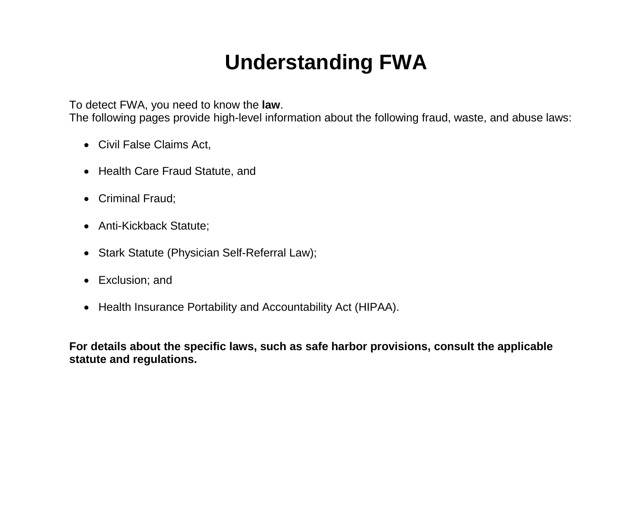## **Understanding FWA**

To detect FWA, you need to know the **law**.

The following pages provide high-level information about the following fraud, waste, and abuse laws:

- Civil False Claims Act,
- Health Care Fraud Statute, and
- Criminal Fraud;
- Anti-Kickback Statute;
- Stark Statute (Physician Self-Referral Law);
- Exclusion; and
- Health Insurance Portability and Accountability Act (HIPAA).

**For details about the specific laws, such as safe harbor provisions, consult the applicable statute and regulations.**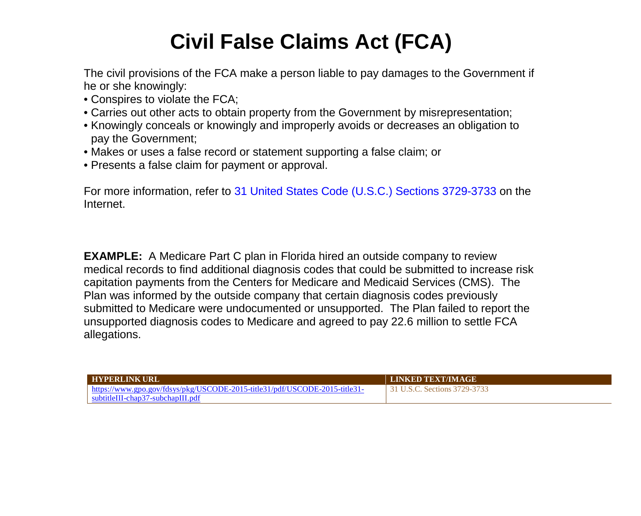# **Civil False Claims Act (FCA)**

The civil provisions of the FCA make a person liable to pay damages to the Government if he or she knowingly:

- Conspires to violate the FCA;
- Carries out other acts to obtain property from the Government by misrepresentation;
- Knowingly conceals or knowingly and improperly avoids or decreases an obligation to pay the Government;
- Makes or uses a false record or statement supporting a false claim; or
- Presents a false claim for payment or approval.

For more information, refer to 31 United States Code (U.S.C.) Sections 3729-3733 on the Internet.

**EXAMPLE:** A Medicare Part C plan in Florida hired an outside company to review medical records to find additional diagnosis codes that could be submitted to increase risk capitation payments from the Centers for Medicare and Medicaid Services (CMS). The Plan was informed by the outside company that certain diagnosis codes previously submitted to Medicare were undocumented or unsupported. The Plan failed to report the unsupported diagnosis codes to Medicare and agreed to pay 22.6 million to settle FCA allegations.

| <b>I HYPERLINK URL</b>                                                     | <b>LINKED TEXT/IMAGE</b>    |
|----------------------------------------------------------------------------|-----------------------------|
| https://www.gpo.gov/fdsys/pkg/USCODE-2015-title31/pdf/USCODE-2015-title31- | 1 U.S.C. Sections 3729-3733 |
| subtitleIII-chap37-subchapIII.pdf                                          |                             |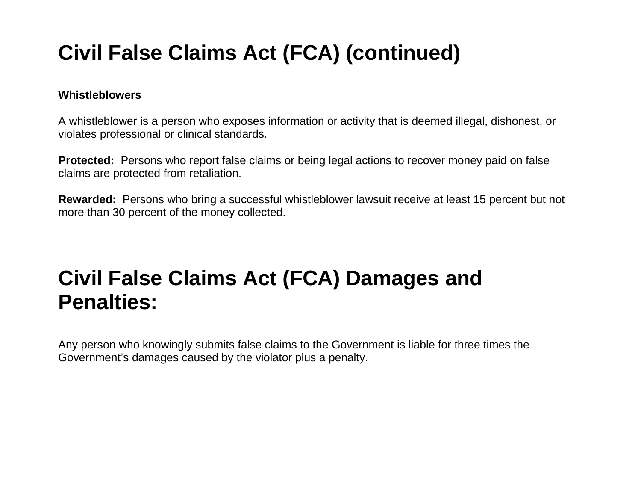# **Civil False Claims Act (FCA) (continued)**

#### **Whistleblowers**

A whistleblower is a person who exposes information or activity that is deemed illegal, dishonest, or violates professional or clinical standards.

**Protected:** Persons who report false claims or being legal actions to recover money paid on false claims are protected from retaliation.

**Rewarded:** Persons who bring a successful whistleblower lawsuit receive at least 15 percent but not more than 30 percent of the money collected.

## **Civil False Claims Act (FCA) Damages and Penalties:**

Any person who knowingly submits false claims to the Government is liable for three times the Government's damages caused by the violator plus a penalty.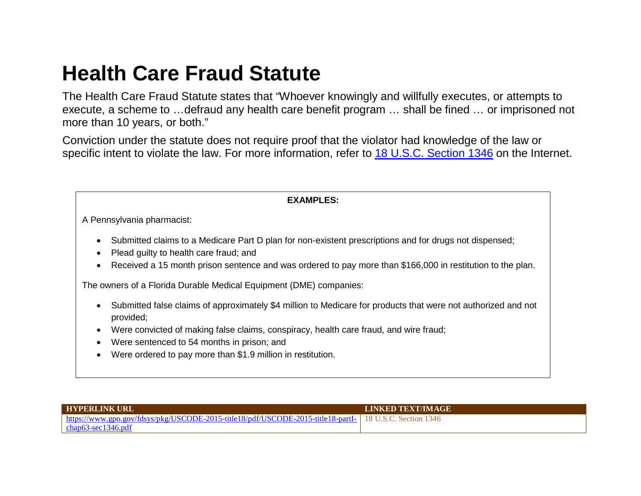## **Health Care Fraud Statute**

The Health Care Fraud Statute states that "Whoever knowingly and willfully executes, or attempts to execute, a scheme to …defraud any health care benefit program … shall be fined … or imprisoned not more than 10 years, or both."

Conviction under the statute does not require proof that the violator had knowledge of the law or specific intent to violate the law. For more information, refer to [18 U.S.C. Section](https://www.gpo.gov/fdsys/pkg/USCODE-2015-title18/pdf/USCODE-2015-title18-partI-chap63-sec1346.pdf) 1346 on the Internet.

| <b>EXAMPLES:</b>                                                                                                                                                                                                                                                                         |  |
|------------------------------------------------------------------------------------------------------------------------------------------------------------------------------------------------------------------------------------------------------------------------------------------|--|
| A Pennsylvania pharmacist:                                                                                                                                                                                                                                                               |  |
| Submitted claims to a Medicare Part D plan for non-existent prescriptions and for drugs not dispensed;<br>$\bullet$<br>Plead guilty to health care fraud; and<br>Received a 15 month prison sentence and was ordered to pay more than \$166,000 in restitution to the plan.<br>$\bullet$ |  |
| The owners of a Florida Durable Medical Equipment (DME) companies:                                                                                                                                                                                                                       |  |
| Submitted false claims of approximately \$4 million to Medicare for products that were not authorized and not<br>$\bullet$<br>provided;<br>Were convicted of making false claims, conspiracy, health care fraud, and wire fraud;                                                         |  |
| Were sentenced to 54 months in prison; and<br>Were ordered to pay more than \$1.9 million in restitution.<br>$\bullet$                                                                                                                                                                   |  |
|                                                                                                                                                                                                                                                                                          |  |

| <b>LEYPERLINK URL</b>                                                                                                 | <b>LINKED TEXT/IMAGE</b> |
|-----------------------------------------------------------------------------------------------------------------------|--------------------------|
| $\frac{1}{2}$ https://www.gpo.gov/fdsys/pkg/USCODE-2015-title18/pdf/USCODE-2015-title18-partI- 18 U.S.C. Section 1346 |                          |
| $chap63-sec1346.pdf$                                                                                                  |                          |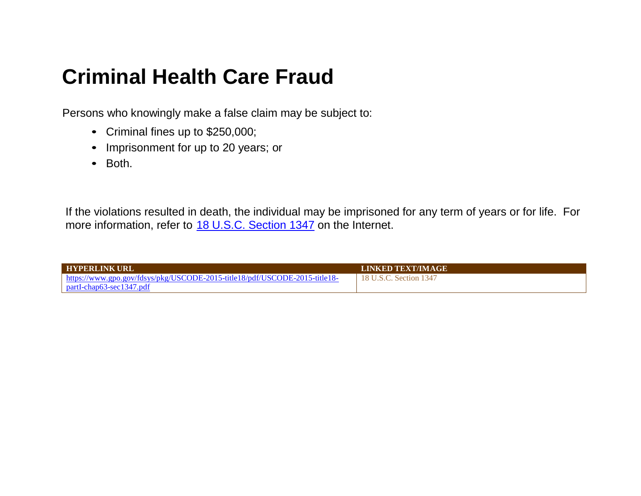## **Criminal Health Care Fraud**

Persons who knowingly make a false claim may be subject to:

- Criminal fines up to \$250,000;
- Imprisonment for up to 20 years; or
- Both.

If the violations resulted in death, the individual may be imprisoned for any term of years or for life. For more information, refer to [18 U.S.C. Section 1347](https://www.gpo.gov/fdsys/pkg/USCODE-2015-title18/pdf/USCODE-2015-title18-partI-chap63-sec1347.pdf) on the Internet.

| <b>HYPERLINK URL</b>                                                             | <b>LINKED TEXT/IMAGE</b> |
|----------------------------------------------------------------------------------|--------------------------|
| $\mu$ https://www.gpo.gov/fdsys/pkg/USCODE-2015-title18/pdf/USCODE-2015-title18- | 18 U.S.C. Section 1347   |
| $partI-chap63-sec1347.pdf$                                                       |                          |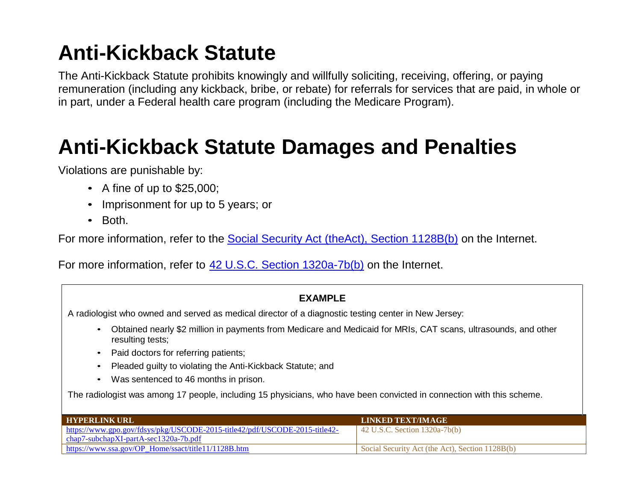# **Anti-Kickback Statute**

The Anti-Kickback Statute prohibits knowingly and willfully soliciting, receiving, offering, or paying remuneration (including any kickback, bribe, or rebate) for referrals for services that are paid, in whole or in part, under a Federal health care program (including the Medicare Program).

# **Anti-Kickback Statute Damages and Penalties**

Violations are punishable by:

- A fine of up to \$25,000;
- Imprisonment for up to 5 years; or
- Both.

For more information, refer to the [Social Security Act \(theAct\), Section](https://www.ssa.gov/OP_Home/ssact/title11/1128B.htm) 1128B(b) on the Internet.

For more information, refer to [42 U.S.C. Section 1320a-7b\(b\) o](https://www.gpo.gov/fdsys/pkg/USCODE-2015-title42/pdf/USCODE-2015-title42-chap7-subchapXI-partA-sec1320a-7b.pdf)n the Internet.

#### **EXAMPLE**

A radiologist who owned and served as medical director of a diagnostic testing center in New Jersey:

- Obtained nearly \$2 million in payments from Medicare and Medicaid for MRIs, CAT scans, ultrasounds, and other resulting tests;
- Paid doctors for referring patients;
- Pleaded guilty to violating the Anti-Kickback Statute; and
- Was sentenced to 46 months in prison.

The radiologist was among 17 people, including 15 physicians, who have been convicted in connection with this scheme.

| <b>FIXPERLINK URL</b>                                                      | LINKED TEXT/IMAGE                               |
|----------------------------------------------------------------------------|-------------------------------------------------|
| https://www.gpo.gov/fdsys/pkg/USCODE-2015-title42/pdf/USCODE-2015-title42- | $\vert$ 42 U.S.C. Section 1320a-7b(b)           |
| $chap7-subchapXI-partA-sec1320a-7b.pdf$                                    |                                                 |
| https://www.ssa.gov/OP Home/ssact/title11/1128B.htm                        | Social Security Act (the Act), Section 1128B(b) |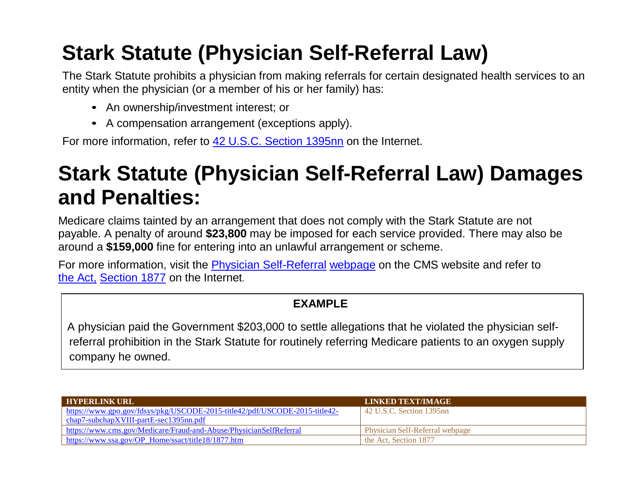# **Stark Statute (Physician Self-Referral Law)**

The Stark Statute prohibits a physician from making referrals for certain designated health services to an entity when the physician (or a member of his or her family) has:

- An ownership/investment interest; or
- A compensation arrangement (exceptions apply).

For more information, refer to [42 U.S.C. Section 1395nn](https://www.gpo.gov/fdsys/pkg/USCODE-2015-title42/pdf/USCODE-2015-title42-chap7-subchapXVIII-partE-sec1395nn.pdf) on the Internet.

## **Stark Statute (Physician Self-Referral Law) Damages and Penalties:**

Medicare claims tainted by an arrangement that does not comply with the Stark Statute are not payable. A penalty of around **\$23,800** may be imposed for each service provided. There may also be around a **\$159,000** fine for entering into an unlawful arrangement or scheme.

For more information, visit the [Physician Self-Referral](https://www.cms.gov/Medicare/Fraud-and-Abuse/PhysicianSelfReferral/) [webpage o](https://www.cms.gov/Medicare/Fraud-and-Abuse/PhysicianSelfReferral/)n the CMS website and refer to [the Act,](https://www.ssa.gov/OP_Home/ssact/title18/1877.htm) [Section](https://www.ssa.gov/OP_Home/ssact/title18/1877.htm) 1877 on the Internet.

#### **EXAMPLE**

 A physician paid the Government \$203,000 to settle allegations that he violated the physician selfreferral prohibition in the Stark Statute for routinely referring Medicare patients to an oxygen supply company he owned.

| <b>HYPERLINK URL</b>                                                       | LINKED TEXT/IMAGE                      |
|----------------------------------------------------------------------------|----------------------------------------|
| https://www.gpo.gov/fdsys/pkg/USCODE-2015-title42/pdf/USCODE-2015-title42- | $\vert$ 42 U.S.C. Section 1395nn       |
| $\alpha$ chap7-subchapXVIII-partE-sec1395nn.pdf                            |                                        |
| https://www.cms.gov/Medicare/Fraud-and-Abuse/PhysicianSelfReferral         | <b>Physician Self-Referral webpage</b> |
| https://www.ssa.gov/OP_Home/ssact/title18/1877.htm                         | the Act. Section 1877                  |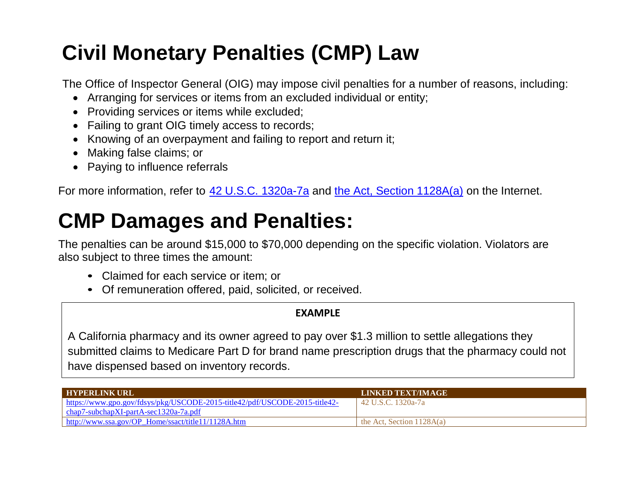# **Civil Monetary Penalties (CMP) Law**

The Office of Inspector General (OIG) may impose civil penalties for a number of reasons, including:

- Arranging for services or items from an excluded individual or entity;
- Providing services or items while excluded;
- Failing to grant OIG timely access to records;
- Knowing of an overpayment and failing to report and return it;
- Making false claims; or
- Paying to influence referrals

For more information, refer to 42 U.S.C. [1320a-7a](https://www.gpo.gov/fdsys/pkg/USCODE-2015-title42/pdf/USCODE-2015-title42-chap7-subchapXI-partA-sec1320a-7a.pdf) and the Act, Section [1128A\(a\)](https://www.ssa.gov/OP_Home/ssact/title11/1128A.htm) on the Internet.

# **CMP Damages and Penalties:**

The penalties can be around \$15,000 to \$70,000 depending on the specific violation. Violators are also subject to three times the amount:

- Claimed for each service or item; or
- Of remuneration offered, paid, solicited, or received.

#### **EXAMPLE**

A California pharmacy and its owner agreed to pay over \$1.3 million to settle allegations they submitted claims to Medicare Part D for brand name prescription drugs that the pharmacy could not have dispensed based on inventory records.

| <b>HYPERLINK URL</b>                                                       | LINKED TEXT/IMAGE           |
|----------------------------------------------------------------------------|-----------------------------|
| https://www.gpo.gov/fdsys/pkg/USCODE-2015-title42/pdf/USCODE-2015-title42- | 42 U.S.C. 1320a-7a          |
| chap7-subchapXI-partA-sec1320a-7a.pdf                                      |                             |
| http://www.ssa.gov/OP_Home/ssact/title11/1128A.htm                         | the Act, Section $1128A(a)$ |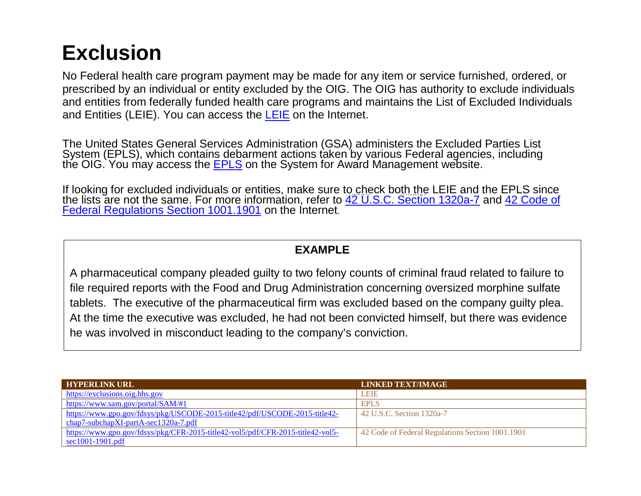## **Exclusion**

No Federal health care program payment may be made for any item or service furnished, ordered, or prescribed by an individual or entity excluded by the OIG. The OIG has authority to exclude individuals and entities from federally funded health care programs and maintains the List of Excluded Individuals and Entities (LEIE). You can access the [LEIE o](https://exclusions.oig.hhs.gov/)n the Internet.

The United States General Services Administration (GSA) administers the Excluded Parties List System (EPLS), which contains debarment actions taken by various Federal agencies, including the OIG. You may access the [EPLS](https://www.sam.gov/portal/SAM/#1) on the System for Award Management website.

If looking for excluded individuals or entities, make sure to check both the LEIE and the EPLS since the lists are not the same. For more information, refer to [42 U.S.C. Section](https://www.gpo.gov/fdsys/pkg/USCODE-2015-title42/pdf/USCODE-2015-title42-chap7-subchapXI-partA-sec1320a-7.pdf) 1320a-7 and 42 Code of [Federal Regulations Section](https://www.gpo.gov/fdsys/pkg/CFR-2015-title42-vol5/pdf/CFR-2015-title42-vol5-sec1001-1901.pdf) 1001.1901 on the Internet.

#### **EXAMPLE**

A pharmaceutical company pleaded guilty to two felony counts of criminal fraud related to failure to file required reports with the Food and Drug Administration concerning oversized morphine sulfate tablets. The executive of the pharmaceutical firm was excluded based on the company guilty plea. At the time the executive was excluded, he had not been convicted himself, but there was evidence he was involved in misconduct leading to the company's conviction.

| <b>HYPERLINK URL</b>                                                           | <b>LINKED TEXT/IMAGE</b>                         |
|--------------------------------------------------------------------------------|--------------------------------------------------|
| https://exclusions.oig.hhs.gov                                                 | <b>LEIE</b>                                      |
| https://www.sam.gov/portal/SAM/#1                                              | <b>EPLS</b>                                      |
| https://www.gpo.gov/fdsys/pkg/USCODE-2015-title42/pdf/USCODE-2015-title42-     | 42 U.S.C. Section 1320a-7                        |
| $char7$ -subchapXI-partA-sec1320a-7.pdf                                        |                                                  |
| https://www.gpo.gov/fdsys/pkg/CFR-2015-title42-vol5/pdf/CFR-2015-title42-vol5- | 42 Code of Federal Regulations Section 1001.1901 |
| $\frac{\text{sec}1001 - 1901 \cdot \text{pdf}}{2}$                             |                                                  |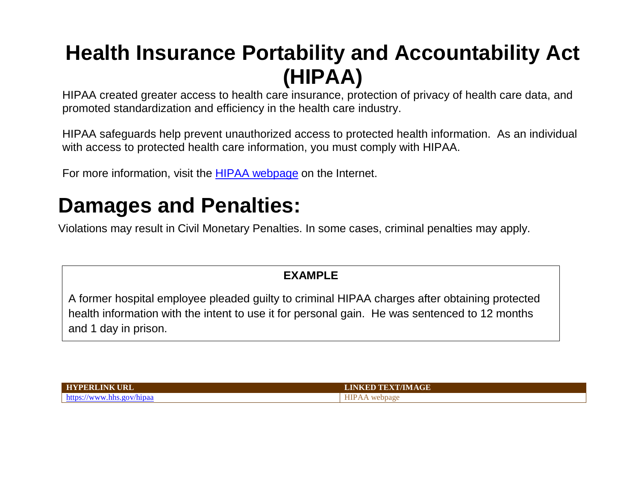## **Health Insurance Portability and Accountability Act (HIPAA)**

HIPAA created greater access to health care insurance, protection of privacy of health care data, and promoted standardization and efficiency in the health care industry.

HIPAA safeguards help prevent unauthorized access to protected health information. As an individual with access to protected health care information, you must comply with HIPAA.

For more information, visit the [HIPAA webpage o](https://www.hhs.gov/hipaa)n the Internet.

## **Damages and Penalties:**

Violations may result in Civil Monetary Penalties. In some cases, criminal penalties may apply.

#### **EXAMPLE**

A former hospital employee pleaded guilty to criminal HIPAA charges after obtaining protected health information with the intent to use it for personal gain. He was sentenced to 12 months and 1 day in prison.

| <b>HYPERLINK URL</b>                    | <b>LINKED TEXT/IMAGE</b> |
|-----------------------------------------|--------------------------|
| https:/<br>v/hipaa<br>$\alpha$<br>. . W | ebpage                   |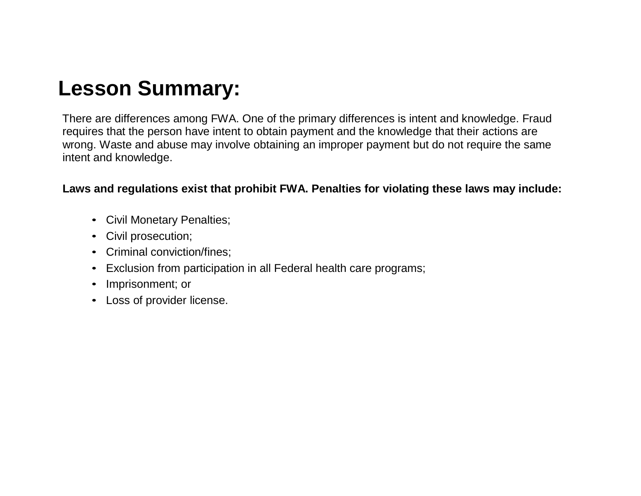## **Lesson Summary:**

There are differences among FWA. One of the primary differences is intent and knowledge. Fraud requires that the person have intent to obtain payment and the knowledge that their actions are wrong. Waste and abuse may involve obtaining an improper payment but do not require the same intent and knowledge.

#### **Laws and regulations exist that prohibit FWA. Penalties for violating these laws may include:**

- Civil Monetary Penalties;
- Civil prosecution;
- Criminal conviction/fines;
- Exclusion from participation in all Federal health care programs;
- Imprisonment; or
- Loss of provider license.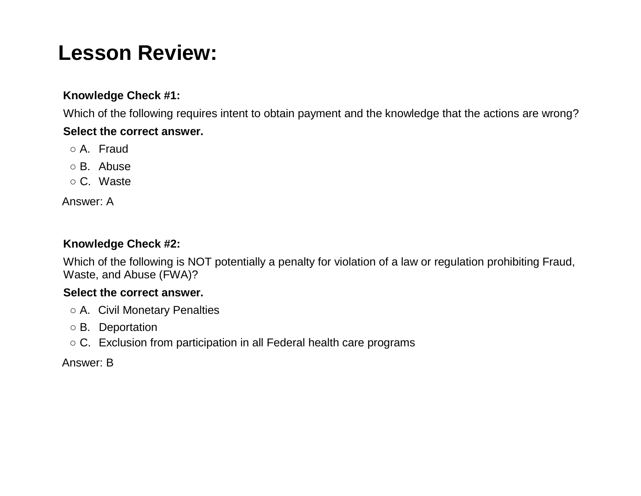## **Lesson Review:**

#### **Knowledge Check #1:**

Which of the following requires intent to obtain payment and the knowledge that the actions are wrong? **Select the correct answer.**

- A. Fraud
- B. Abuse
- C. Waste

Answer: A

#### **Knowledge Check #2:**

Which of the following is NOT potentially a penalty for violation of a law or regulation prohibiting Fraud, Waste, and Abuse (FWA)?

#### **Select the correct answer.**

- A. Civil Monetary Penalties
- B. Deportation
- $\circ$  C. Exclusion from participation in all Federal health care programs

#### Answer: B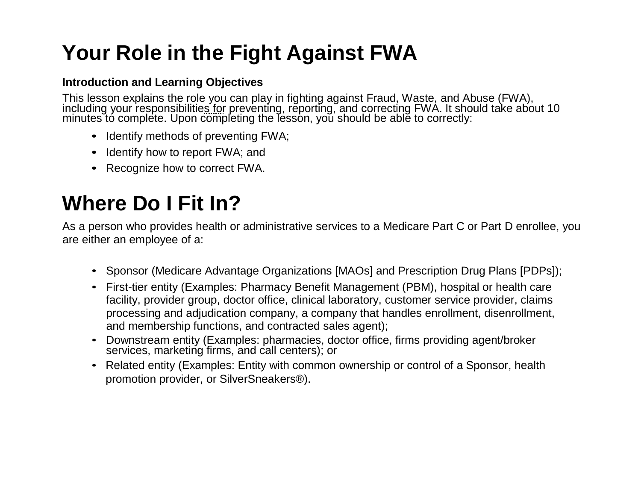## **Your Role in the Fight Against FWA**

#### **Introduction and Learning Objectives**

This lesson explains the role you can play in fighting against Fraud, Waste, and Abuse (FWA),<br>including your responsibilitie<u>s fo</u>r preventing, reporting, and correcting FWA. It should take about 10 minutes to complete. Upon completing the lesson, you should be able to correctly:

- Identify methods of preventing FWA;
- Identify how to report FWA; and
- Recognize how to correct FWA.

# **Where Do I Fit In?**

As a person who provides health or administrative services to a Medicare Part C or Part D enrollee, you are either an employee of a:

- Sponsor (Medicare Advantage Organizations [MAOs] and Prescription Drug Plans [PDPs]);
- First-tier entity (Examples: Pharmacy Benefit Management (PBM), hospital or health care facility, provider group, doctor office, clinical laboratory, customer service provider, claims processing and adjudication company, a company that handles enrollment, disenrollment, and membership functions, and contracted sales agent);
- Downstream entity (Examples: pharmacies, doctor office, firms providing agent/broker services, marketing firms, and call centers); or
- Related entity (Examples: Entity with common ownership or control of a Sponsor, health promotion provider, or SilverSneakers®).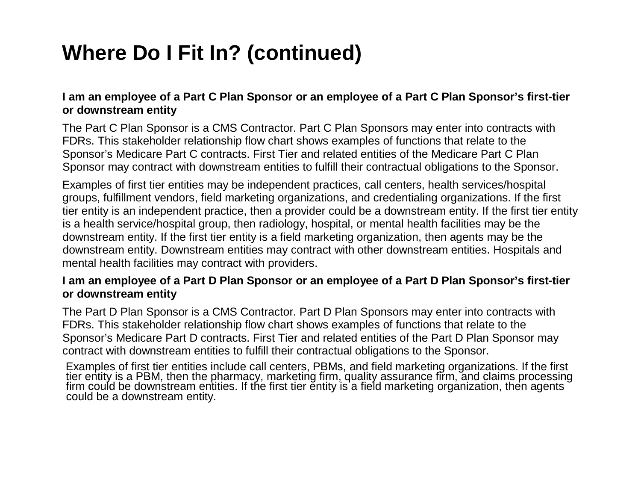# **Where Do I Fit In? (continued)**

#### **I am an employee of a Part C Plan Sponsor or an employee of a Part C Plan Sponsor's first-tier or downstream entity**

The Part C Plan Sponsor is a CMS Contractor. Part C Plan Sponsors may enter into contracts with FDRs. This stakeholder relationship flow chart shows examples of functions that relate to the Sponsor's Medicare Part C contracts. First Tier and related entities of the Medicare Part C Plan Sponsor may contract with downstream entities to fulfill their contractual obligations to the Sponsor.

Examples of first tier entities may be independent practices, call centers, health services/hospital groups, fulfillment vendors, field marketing organizations, and credentialing organizations. If the first tier entity is an independent practice, then a provider could be a downstream entity. If the first tier entity is a health service/hospital group, then radiology, hospital, or mental health facilities may be the downstream entity. If the first tier entity is a field marketing organization, then agents may be the downstream entity. Downstream entities may contract with other downstream entities. Hospitals and mental health facilities may contract with providers.

#### **I am an employee of a Part D Plan Sponsor or an employee of a Part D Plan Sponsor's first-tier or downstream entity**

The Part D Plan Sponsor is a CMS Contractor. Part D Plan Sponsors may enter into contracts with FDRs. This stakeholder relationship flow chart shows examples of functions that relate to the Sponsor's Medicare Part D contracts. First Tier and related entities of the Part D Plan Sponsor may contract with downstream entities to fulfill their contractual obligations to the Sponsor.

Examples of first tier entities include call centers, PBMs, and field marketing organizations. If the first tier entity is a PBM, then the pharmacy, marketing firm, quality assurance firm, and claims processing<br>firm could be downstream entities. If the first tier entity is a field marketing organization, then agents could be a downstream entity.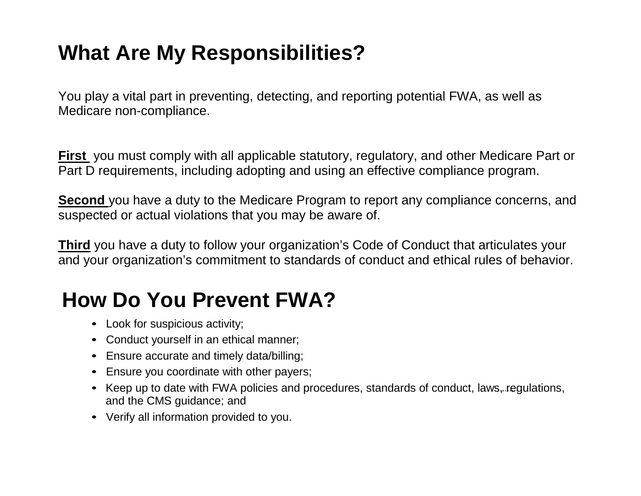# **What Are My Responsibilities?**

You play a vital part in preventing, detecting, and reporting potential FWA, as well as Medicare non-compliance.

**First** you must comply with all applicable statutory, regulatory, and other Medicare Part or Part D requirements, including adopting and using an effective compliance program.

**Second** you have a duty to the Medicare Program to report any compliance concerns, and suspected or actual violations that you may be aware of.

**Third** you have a duty to follow your organization's Code of Conduct that articulates your and your organization's commitment to standards of conduct and ethical rules of behavior.

## **How Do You Prevent FWA?**

- Look for suspicious activity;
- Conduct yourself in an ethical manner;
- Ensure accurate and timely data/billing;
- Ensure you coordinate with other payers;
- Keep up to date with FWA policies and procedures, standards of conduct, laws, regulations, and the CMS guidance; and
- Verify all information provided to you.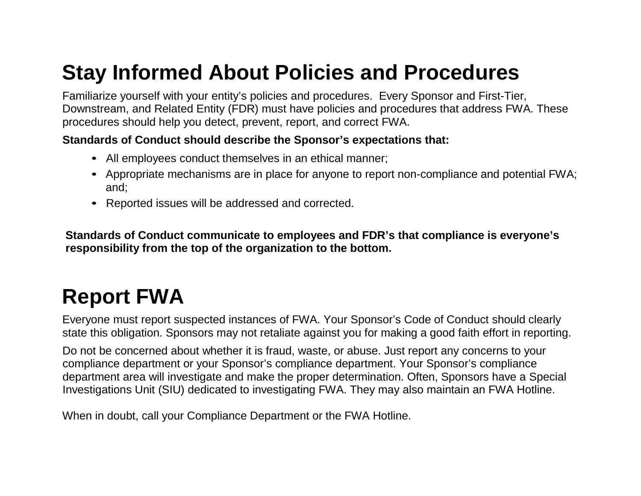## **Stay Informed About Policies and Procedures**

Familiarize yourself with your entity's policies and procedures. Every Sponsor and First-Tier, Downstream, and Related Entity (FDR) must have policies and procedures that address FWA. These procedures should help you detect, prevent, report, and correct FWA.

#### **Standards of Conduct should describe the Sponsor's expectations that:**

- All employees conduct themselves in an ethical manner;
- Appropriate mechanisms are in place for anyone to report non-compliance and potential FWA; and;
- Reported issues will be addressed and corrected.

**Standards of Conduct communicate to employees and FDR's that compliance is everyone's responsibility from the top of the organization to the bottom.**

# **Report FWA**

Everyone must report suspected instances of FWA. Your Sponsor's Code of Conduct should clearly state this obligation. Sponsors may not retaliate against you for making a good faith effort in reporting.

Do not be concerned about whether it is fraud, waste, or abuse. Just report any concerns to your compliance department or your Sponsor's compliance department. Your Sponsor's compliance department area will investigate and make the proper determination. Often, Sponsors have a Special Investigations Unit (SIU) dedicated to investigating FWA. They may also maintain an FWA Hotline.

When in doubt, call your Compliance Department or the FWA Hotline.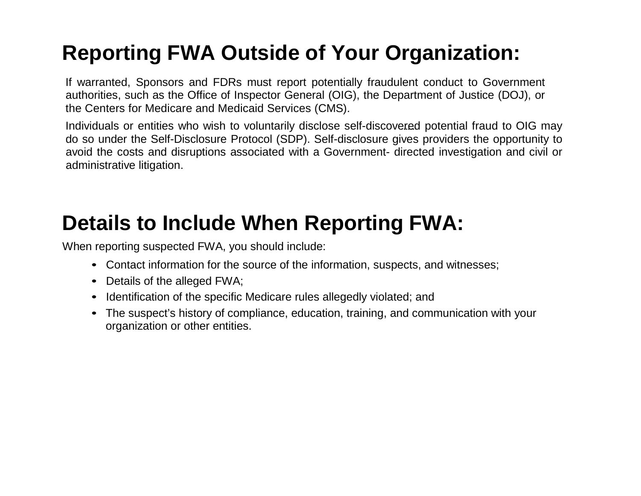# **Reporting FWA Outside of Your Organization:**

If warranted, Sponsors and FDRs must report potentially fraudulent conduct to Government authorities, such as the Office of Inspector General (OIG), the Department of Justice (DOJ), or the Centers for Medicare and Medicaid Services (CMS).

Individuals or entities who wish to voluntarily disclose self-discovered potential fraud to OIG may do so under the Self-Disclosure Protocol (SDP). Self-disclosure gives providers the opportunity to avoid the costs and disruptions associated with a Government- directed investigation and civil or administrative litigation.

## **Details to Include When Reporting FWA:**

When reporting suspected FWA, you should include:

- Contact information for the source of the information, suspects, and witnesses;
- Details of the alleged FWA;
- Identification of the specific Medicare rules allegedly violated; and
- The suspect's history of compliance, education, training, and communication with your organization or other entities.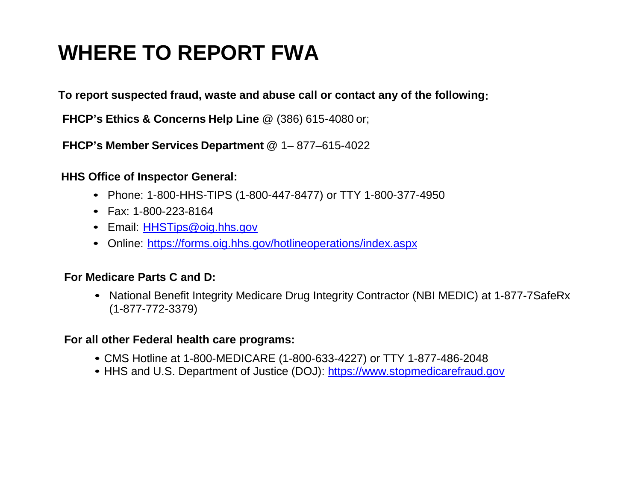# **WHERE TO REPORT FWA**

**To report suspected fraud, waste and abuse call or contact any of the following:**

**FHCP's Ethics & Concerns Help Line** @ (386) 615-4080 or;

**FHCP's Member Services Department** @ 1– 877–615-4022

#### **HHS Office of Inspector General:**

- Phone: 1-800-HHS-TIPS (1-800-447-8477) or TTY 1-800-377-4950
- Fax: 1-800-223-8164
- Email: [HHSTips@oig.hhs.gov](mailto:HHSTips@oig.hhs.gov)
- Online:<https://forms.oig.hhs.gov/hotlineoperations/index.aspx>

#### **For Medicare Parts C and D:**

• National Benefit Integrity Medicare Drug Integrity Contractor (NBI MEDIC) at 1-877-7SafeRx (1-877-772-3379)

#### **For all other Federal health care programs:**

- CMS Hotline at 1-800-MEDICARE (1-800-633-4227) or TTY 1-877-486-2048
- HHS and U.S. Department of Justice (DOJ): [https://www.stopmedicarefraud.gov](https://www.stopmedicarefraud.gov/)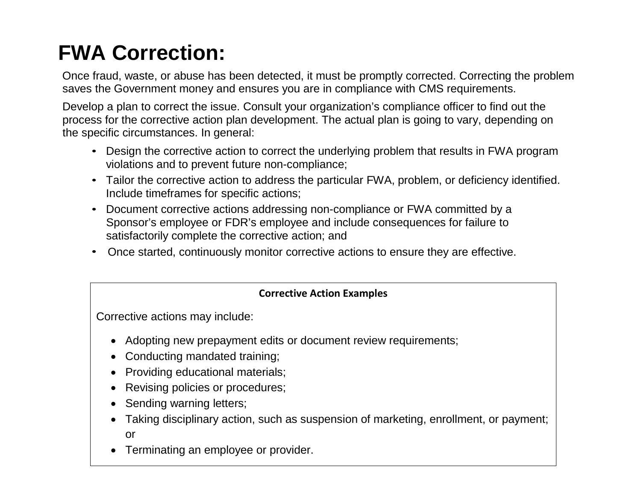# **FWA Correction:**

Once fraud, waste, or abuse has been detected, it must be promptly corrected. Correcting the problem saves the Government money and ensures you are in compliance with CMS requirements.

Develop a plan to correct the issue. Consult your organization's compliance officer to find out the process for the corrective action plan development. The actual plan is going to vary, depending on the specific circumstances. In general:

- Design the corrective action to correct the underlying problem that results in FWA program violations and to prevent future non-compliance;
- Tailor the corrective action to address the particular FWA, problem, or deficiency identified. Include timeframes for specific actions;
- Document corrective actions addressing non-compliance or FWA committed by a Sponsor's employee or FDR's employee and include consequences for failure to satisfactorily complete the corrective action; and
- Once started, continuously monitor corrective actions to ensure they are effective.

#### **Corrective Action Examples**

Corrective actions may include:

- Adopting new prepayment edits or document review requirements;
- Conducting mandated training;
- Providing educational materials;
- Revising policies or procedures;
- Sending warning letters;
- Taking disciplinary action, such as suspension of marketing, enrollment, or payment; or
- Terminating an employee or provider.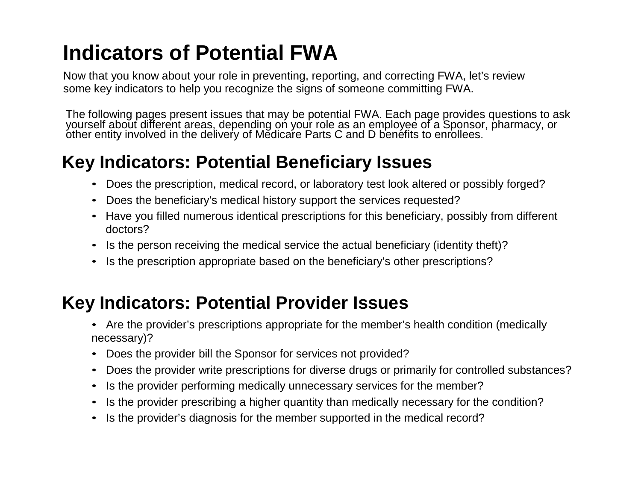# **Indicators of Potential FWA**

Now that you know about your role in preventing, reporting, and correcting FWA, let's review some key indicators to help you recognize the signs of someone committing FWA.

The following pages present issues that may be potential FWA. Each page provides questions to ask yourself about different areas, depending on your role as an employee of a Sponsor, pharmacy, or<br>other entity involved in the delivery of Medicare Parts C and D benefits to enrollees.

### **Key Indicators: Potential Beneficiary Issues**

- Does the prescription, medical record, or laboratory test look altered or possibly forged?
- Does the beneficiary's medical history support the services requested?
- Have you filled numerous identical prescriptions for this beneficiary, possibly from different doctors?
- Is the person receiving the medical service the actual beneficiary (identity theft)?
- Is the prescription appropriate based on the beneficiary's other prescriptions?

### **Key Indicators: Potential Provider Issues**

- Are the provider's prescriptions appropriate for the member's health condition (medically necessary)?
- Does the provider bill the Sponsor for services not provided?
- Does the provider write prescriptions for diverse drugs or primarily for controlled substances?
- Is the provider performing medically unnecessary services for the member?
- Is the provider prescribing a higher quantity than medically necessary for the condition?
- Is the provider's diagnosis for the member supported in the medical record?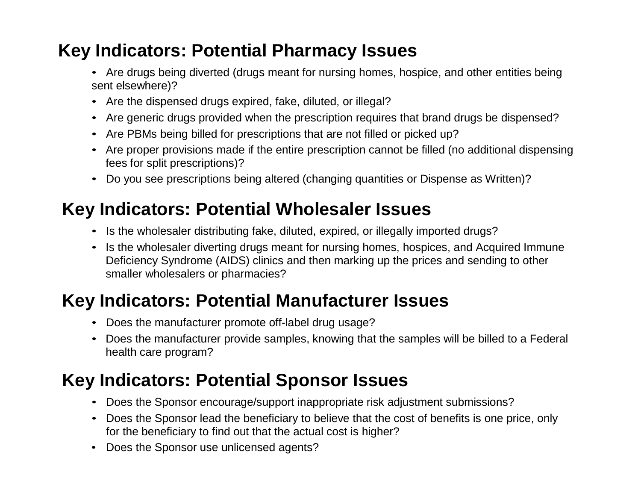### **Key Indicators: Potential Pharmacy Issues**

- Are drugs being diverted (drugs meant for nursing homes, hospice, and other entities being sent elsewhere)?
- Are the dispensed drugs expired, fake, diluted, or illegal?
- Are generic drugs provided when the prescription requires that brand drugs be dispensed?
- Are PBMs being billed for prescriptions that are not filled or picked up?
- Are proper provisions made if the entire prescription cannot be filled (no additional dispensing fees for split prescriptions)?
- Do you see prescriptions being altered (changing quantities or Dispense as Written)?

### **Key Indicators: Potential Wholesaler Issues**

- Is the wholesaler distributing fake, diluted, expired, or illegally imported drugs?
- Is the wholesaler diverting drugs meant for nursing homes, hospices, and Acquired Immune Deficiency Syndrome (AIDS) clinics and then marking up the prices and sending to other smaller wholesalers or pharmacies?

### **Key Indicators: Potential Manufacturer Issues**

- Does the manufacturer promote off-label drug usage?
- Does the manufacturer provide samples, knowing that the samples will be billed to a Federal health care program?

### **Key Indicators: Potential Sponsor Issues**

- Does the Sponsor encourage/support inappropriate risk adjustment submissions?
- Does the Sponsor lead the beneficiary to believe that the cost of benefits is one price, only for the beneficiary to find out that the actual cost is higher?
- Does the Sponsor use unlicensed agents?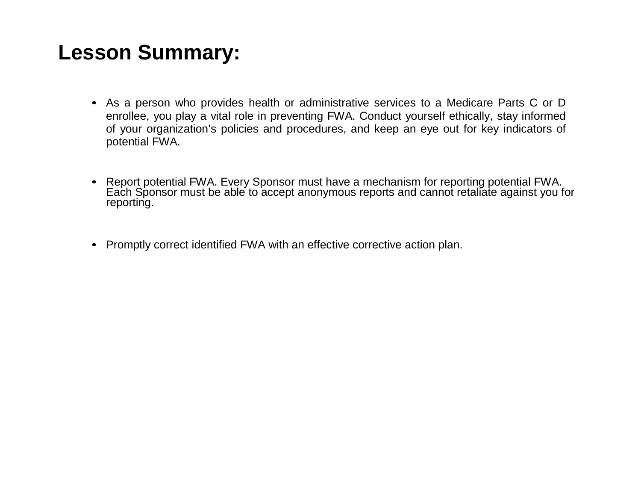## **Lesson Summary:**

- As a person who provides health or administrative services to a Medicare Parts C or D enrollee, you play a vital role in preventing FWA. Conduct yourself ethically, stay informed of your organization's policies and procedures, and keep an eye out for key indicators of potential FWA.
- Report potential FWA. Every Sponsor must have a mechanism for reporting potential FWA.<br>Each Sponsor must be able to accept anonymous reports and cannot retaliate against you for reporting.
- Promptly correct identified FWA with an effective corrective action plan.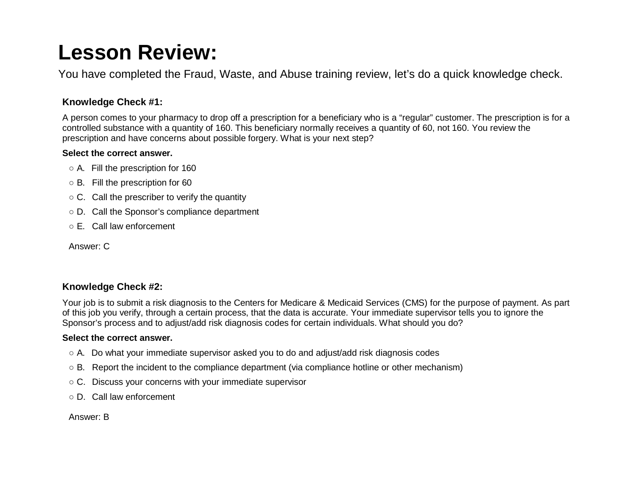## **Lesson Review:**

You have completed the Fraud, Waste, and Abuse training review, let's do a quick knowledge check.

#### **Knowledge Check #1:**

A person comes to your pharmacy to drop off a prescription for a beneficiary who is a "regular" customer. The prescription is for a controlled substance with a quantity of 160. This beneficiary normally receives a quantity of 60, not 160. You review the prescription and have concerns about possible forgery. What is your next step?

#### **Select the correct answer.**

- A. Fill the prescription for 160
- B. Fill the prescription for 60
- $\circ$  C. Call the prescriber to verify the quantity
- D. Call the Sponsor's compliance department
- E. Call law enforcement

Answer: C

#### **Knowledge Check #2:**

Your job is to submit a risk diagnosis to the Centers for Medicare & Medicaid Services (CMS) for the purpose of payment. As part of this job you verify, through a certain process, that the data is accurate. Your immediate supervisor tells you to ignore the Sponsor's process and to adjust/add risk diagnosis codes for certain individuals. What should you do?

#### **Select the correct answer.**

- $\circ$  A. Do what your immediate supervisor asked you to do and adjust/add risk diagnosis codes
- B. Report the incident to the compliance department (via compliance hotline or other mechanism)
- C. Discuss your concerns with your immediate supervisor
- D. Call law enforcement

Answer: B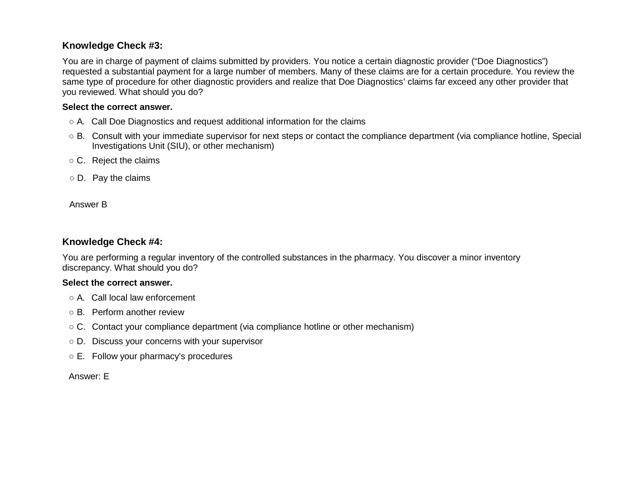#### **Knowledge Check #3:**

You are in charge of payment of claims submitted by providers. You notice a certain diagnostic provider ("Doe Diagnostics") requested a substantial payment for a large number of members. Many of these claims are for a certain procedure. You review the same type of procedure for other diagnostic providers and realize that Doe Diagnostics' claims far exceed any other provider that you reviewed. What should you do?

#### **Select the correct answer.**

- A. Call Doe Diagnostics and request additional information for the claims
- B. Consult with your immediate supervisor for next steps or contact the compliance department (via compliance hotline, Special Investigations Unit (SIU), or other mechanism)
- C. Reject the claims
- D. Pay the claims

Answer B

#### **Knowledge Check #4:**

You are performing a regular inventory of the controlled substances in the pharmacy. You discover a minor inventory discrepancy. What should you do?

#### **Select the correct answer.**

- A. Call local law enforcement
- B. Perform another review
- $\circ$  C. Contact your compliance department (via compliance hotline or other mechanism)
- D. Discuss your concerns with your supervisor
- E. Follow your pharmacy's procedures

Answer: E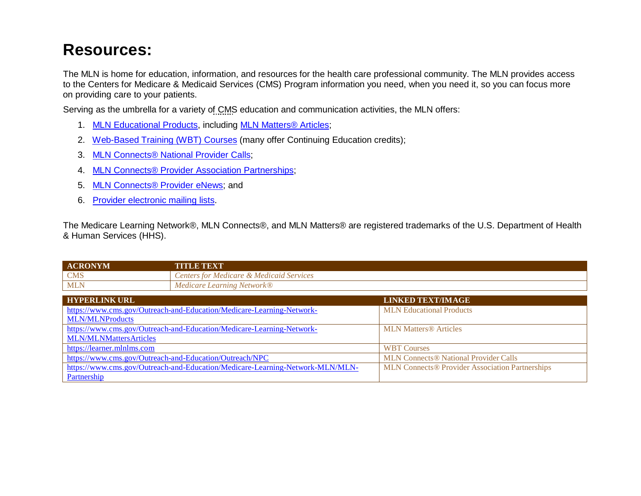### **Resources:**

The MLN is home for education, information, and resources for the health care professional community. The MLN provides access to the Centers for Medicare & Medicaid Services (CMS) Program information you need, when you need it, so you can focus more on providing care to your patients.

Serving as the umbrella for a variety of CMS education and communication activities, the MLN offers:

- 1. [MLN Educational Products,](https://www.cms.gov/Outreach-and-Education/Medicare-Learning-Network-MLN/MLNProducts) including [MLN Matters® Articles;](https://www.cms.gov/Outreach-and-Education/Medicare-Learning-Network-MLN/MLNMattersArticles)
- 2. [Web-Based Training \(WBT\) Courses](https://learner.mlnlms.com/) (many offer Continuing Education credits);
- 3. [MLN Connects® National Provider Calls;](https://www.cms.gov/Outreach-and-Education/Outreach/NPC)
- 4. [MLN Connects® Provider Association Partnerships;](https://www.cms.gov/Outreach-and-Education/Medicare-Learning-Network-MLN/MLN-Partnership)
- 5. [MLN Connects® Provider eNews;](https://www.cms.gov/Outreach-and-Education/Outreach/FFSProvPartProg) and
- 6. [Provider electronic mailing lists.](https://www.cms.gov/Outreach-and-Education/Medicare-Learning-Network-MLN/MLNProducts/Downloads/MailingLists_FactSheet.pdf)

The Medicare Learning Network®, MLN Connects®, and MLN Matters® are registered trademarks of the U.S. Department of Health & Human Services (HHS).

| <b>ACRONYM</b> | <b>E TEXT</b><br>TITT                                 |
|----------------|-------------------------------------------------------|
| <b>CMS</b>     | Services<br>Medicaid S<br>enters for<br>Medicare      |
| <b>MLN</b>     | . Learning<br>Medicare<br><i>Network</i> <sup>®</sup> |

| <b>HYPERLINK URL</b>                                                          | <b>LINKED TEXT/IMAGE</b>                               |
|-------------------------------------------------------------------------------|--------------------------------------------------------|
| https://www.cms.gov/Outreach-and-Education/Medicare-Learning-Network-         | <b>MLN</b> Educational Products                        |
| <b>MLN/MLNProducts</b>                                                        |                                                        |
| https://www.cms.gov/Outreach-and-Education/Medicare-Learning-Network-         | <b>MLN Matters® Articles</b>                           |
| <b>MLN/MLNMattersArticles</b>                                                 |                                                        |
| https://learner.mlnlms.com                                                    | <b>WBT Courses</b>                                     |
| https://www.cms.gov/Outreach-and-Education/Outreach/NPC                       | <b>MLN Connects® National Provider Calls</b>           |
| https://www.cms.gov/Outreach-and-Education/Medicare-Learning-Network-MLN/MLN- | <b>MLN Connects® Provider Association Partnerships</b> |
| Partnership                                                                   |                                                        |